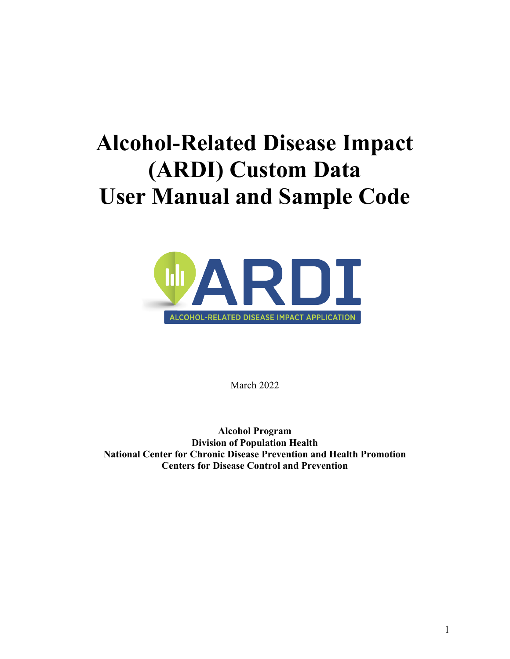# **Alcohol-Related Disease Impact (ARDI) Custom Data User Manual and Sample Code**



March 2022

**Alcohol Program Division of Population Health National Center for Chronic Disease Prevention and Health Promotion Centers for Disease Control and Prevention**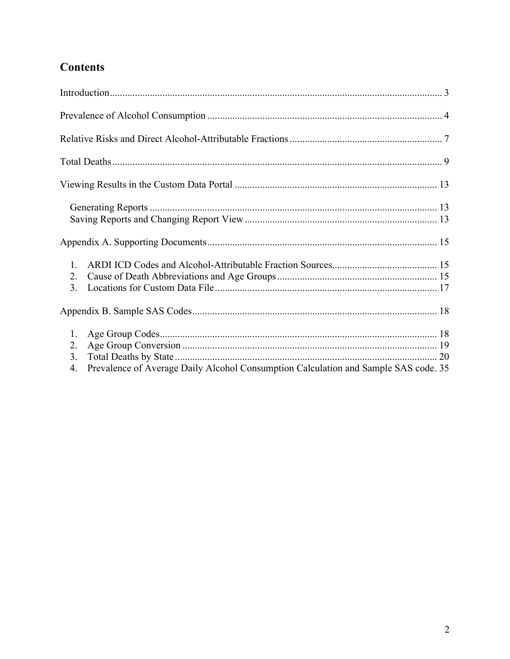## **Contents**

| 1.<br>2.<br>3.       |                                                                                     |  |
|----------------------|-------------------------------------------------------------------------------------|--|
|                      |                                                                                     |  |
| 1.<br>2.<br>3.<br>4. | Prevalence of Average Daily Alcohol Consumption Calculation and Sample SAS code. 35 |  |
|                      |                                                                                     |  |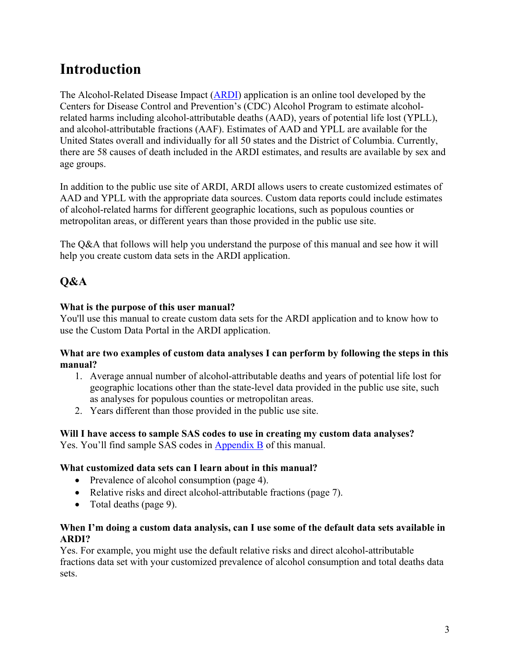# <span id="page-2-0"></span>**Introduction**

The Alcohol-Related Disease Impact [\(ARDI\)](http://www.cdc.gov/ardi) application is an online tool developed by the Centers for Disease Control and Prevention's (CDC) Alcohol Program to estimate alcoholrelated harms including alcohol-attributable deaths (AAD), years of potential life lost (YPLL), and alcohol-attributable fractions (AAF). Estimates of AAD and YPLL are available for the United States overall and individually for all 50 states and the District of Columbia. Currently, there are 58 causes of death included in the ARDI estimates, and results are available by sex and age groups.

In addition to the public use site of ARDI, ARDI allows users to create customized estimates of AAD and YPLL with the appropriate data sources. Custom data reports could include estimates of alcohol-related harms for different geographic locations, such as populous counties or metropolitan areas, or different years than those provided in the public use site.

The Q&A that follows will help you understand the purpose of this manual and see how it will help you create custom data sets in the ARDI application.

### **Q&A**

#### **What is the purpose of this user manual?**

You'll use this manual to create custom data sets for the ARDI application and to know how to use the Custom Data Portal in the ARDI application.

#### **What are two examples of custom data analyses I can perform by following the steps in this manual?**

- 1. Average annual number of alcohol-attributable deaths and years of potential life lost for geographic locations other than the state-level data provided in the public use site, such as analyses for populous counties or metropolitan areas.
- 2. Years different than those provided in the public use site.

#### **Will I have access to sample SAS codes to use in creating my custom data analyses?**

Yes. You'll find sample SAS codes in [Appendix B](#page-17-3) of this manual.

#### **What customized data sets can I learn about in this manual?**

- Prevalence of alcohol consumption (page 4).
- Relative risks and direct alcohol-attributable fractions (page 7).
- Total deaths (page 9).

#### **When I'm doing a custom data analysis, can I use some of the default data sets available in ARDI?**

Yes. For example, you might use the default relative risks and direct alcohol-attributable fractions data set with your customized prevalence of alcohol consumption and total deaths data sets.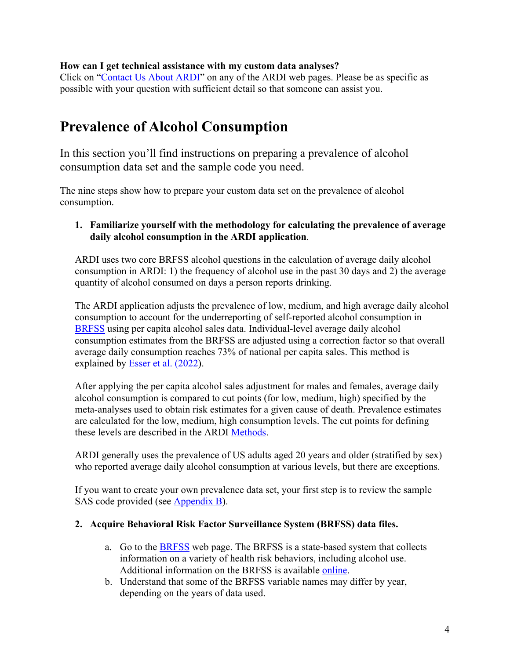#### **How can I get technical assistance with my custom data analyses?**

Click on ["Contact Us About ARDI"](https://nccd.cdc.gov/DPH_ARDI/Info/ContactUs.aspx) on any of the ARDI web pages. Please be as specific as possible with your question with sufficient detail so that someone can assist you.

## <span id="page-3-0"></span>**Prevalence of Alcohol Consumption**

In this section you'll find instructions on preparing a prevalence of alcohol consumption data set and the sample code you need.

The nine steps show how to prepare your custom data set on the prevalence of alcohol consumption.

#### **1. Familiarize yourself with the methodology for calculating the prevalence of average daily alcohol consumption in the ARDI application**.

ARDI uses two core BRFSS alcohol questions in the calculation of average daily alcohol consumption in ARDI: 1) the frequency of alcohol use in the past 30 days and 2) the average quantity of alcohol consumed on days a person reports drinking.

The ARDI application adjusts the prevalence of low, medium, and high average daily alcohol consumption to account for the underreporting of self-reported alcohol consumption in [BRFSS](http://www.cdc.gov/brfss/) using per capita alcohol sales data. Individual-level average daily alcohol consumption estimates from the BRFSS are adjusted using a correction factor so that overall average daily consumption reaches 73% of national per capita sales. This method is explained by [Esser et al. \(2022\)](https://pubmed.ncbi.nlm.nih.gov/35040769/).

After applying the per capita alcohol sales adjustment for males and females, average daily alcohol consumption is compared to cut points (for low, medium, high) specified by the meta-analyses used to obtain risk estimates for a given cause of death. Prevalence estimates are calculated for the low, medium, high consumption levels. The cut points for defining these levels are described in the ARDI [Methods.](https://www.cdc.gov/alcohol/ardi/methods.html)

ARDI generally uses the prevalence of US adults aged 20 years and older (stratified by sex) who reported average daily alcohol consumption at various levels, but there are exceptions.

If you want to create your own prevalence data set, your first step is to review the sample SAS code provided (see [Appendix B\)](#page-33-0).

#### **2. Acquire Behavioral Risk Factor Surveillance System (BRFSS) data files.**

- a. Go to the [BRFSS](https://www.cdc.gov/brfss/data_documentation/index.htm) web page. The BRFSS is a state-based system that collects information on a variety of health risk behaviors, including alcohol use. Additional information on the BRFSS is available [online.](http://www.cdc.gov/brfss)
- b. Understand that some of the BRFSS variable names may differ by year, depending on the years of data used.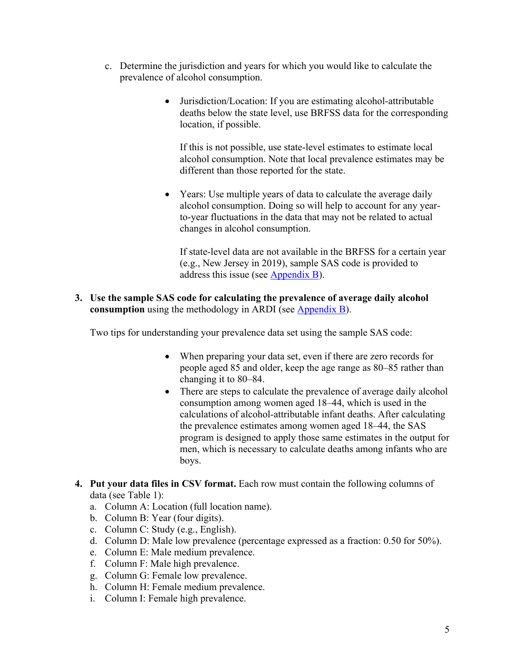- c. Determine the jurisdiction and years for which you would like to calculate the prevalence of alcohol consumption.
	- Jurisdiction/Location: If you are estimating alcohol-attributable deaths below the state level, use BRFSS data for the corresponding location, if possible.

If this is not possible, use state-level estimates to estimate local alcohol consumption. Note that local prevalence estimates may be different than those reported for the state.

• Years: Use multiple years of data to calculate the average daily alcohol consumption. Doing so will help to account for any yearto-year fluctuations in the data that may not be related to actual changes in alcohol consumption.

If state-level data are not available in the BRFSS for a certain year (e.g., New Jersey in 2019), sample SAS code is provided to address this issue (see [Appendix B\)](#page-33-0).

**3. Use the sample SAS code for calculating the prevalence of average daily alcohol consumption** using the methodology in ARDI (see [Appendix B\)](#page-33-0).

Two tips for understanding your prevalence data set using the sample SAS code:

- When preparing your data set, even if there are zero records for people aged 85 and older, keep the age range as 80–85 rather than changing it to 80–84.
- There are steps to calculate the prevalence of average daily alcohol consumption among women aged 18–44, which is used in the calculations of alcohol-attributable infant deaths. After calculating the prevalence estimates among women aged 18–44, the SAS program is designed to apply those same estimates in the output for men, which is necessary to calculate deaths among infants who are boys.
- **4. Put your data files in CSV format.** Each row must contain the following columns of data (see Table 1):
	- a. Column A: Location (full location name).
	- b. Column B: Year (four digits).
	- c. Column C: Study (e.g., English).
	- d. Column D: Male low prevalence (percentage expressed as a fraction: 0.50 for 50%).
	- e. Column E: Male medium prevalence.
	- f. Column F: Male high prevalence.
	- g. Column G: Female low prevalence.
	- h. Column H: Female medium prevalence.
	- i. Column I: Female high prevalence.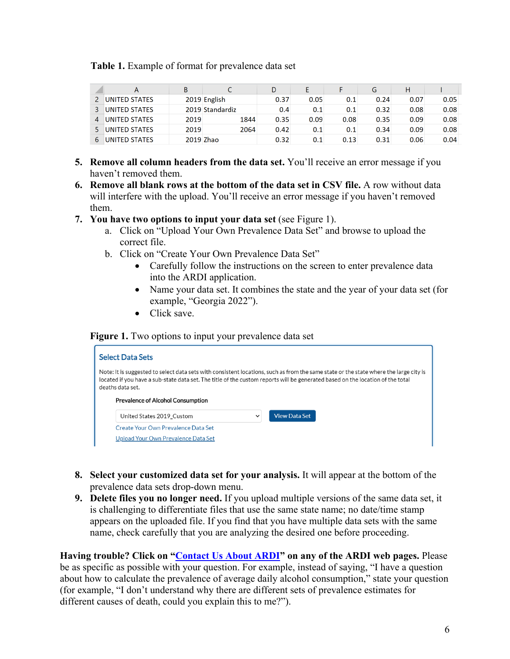**Table 1.** Example of format for prevalence data set

| А                    |           |                 |      |      |      |      |      |      |
|----------------------|-----------|-----------------|------|------|------|------|------|------|
| UNITED STATES        |           | 2019 English    | 0.37 | 0.05 | 0.1  | 0.24 | 0.07 | 0.05 |
| UNITED STATES        |           | 2019 Standardiz | 0.4  | 0.1  | 0.1  | 0.32 | 0.08 | 0.08 |
| UNITED STATES        | 2019      | 1844            | 0.35 | 0.09 | 0.08 | 0.35 | 0.09 | 0.08 |
| <b>UNITED STATES</b> | 2019      | 2064            | 0.42 | 0.1  | 0.1  | 0.34 | 0.09 | 0.08 |
| UNITED STATES        | 2019 Zhao |                 | 0.32 | 0.1  | 0.13 | 0.31 | 0.06 | 0.04 |

- **5. Remove all column headers from the data set.** You'll receive an error message if you haven't removed them.
- **6. Remove all blank rows at the bottom of the data set in CSV file.** A row without data will interfere with the upload. You'll receive an error message if you haven't removed them.
- **7. You have two options to input your data set** (see Figure 1).
	- a. Click on "Upload Your Own Prevalence Data Set" and browse to upload the correct file.
	- b. Click on "Create Your Own Prevalence Data Set"
		- Carefully follow the instructions on the screen to enter prevalence data into the ARDI application.
		- Name your data set. It combines the state and the year of your data set (for example, "Georgia 2022").
		- Click save.

#### **Figure 1.** Two options to input your prevalence data set

| <b>Select Data Sets</b> |                                                                            |             |                                                                                                                                                                                                                                                                         |
|-------------------------|----------------------------------------------------------------------------|-------------|-------------------------------------------------------------------------------------------------------------------------------------------------------------------------------------------------------------------------------------------------------------------------|
| deaths data set.        | Prevalence of Alcohol Consumption                                          |             | Note: It is suggested to select data sets with consistent locations, such as from the same state or the state where the large city is<br>located if you have a sub-state data set. The title of the custom reports will be generated based on the location of the total |
|                         | United States 2019 Custom                                                  | $\check{ }$ | <b>View Data Set</b>                                                                                                                                                                                                                                                    |
|                         | Create Your Own Prevalence Data Set<br>Upload Your Own Prevalence Data Set |             |                                                                                                                                                                                                                                                                         |

- **8. Select your customized data set for your analysis.** It will appear at the bottom of the prevalence data sets drop-down menu.
- **9. Delete files you no longer need.** If you upload multiple versions of the same data set, it is challenging to differentiate files that use the same state name; no date/time stamp appears on the uploaded file. If you find that you have multiple data sets with the same name, check carefully that you are analyzing the desired one before proceeding.

**Having trouble? Click on ["Contact Us About ARDI"](https://nccd.cdc.gov/DPH_ARDI/Info/ContactUs.aspx) on any of the ARDI web pages.** Please be as specific as possible with your question. For example, instead of saying, "I have a question about how to calculate the prevalence of average daily alcohol consumption," state your question (for example, "I don't understand why there are different sets of prevalence estimates for different causes of death, could you explain this to me?").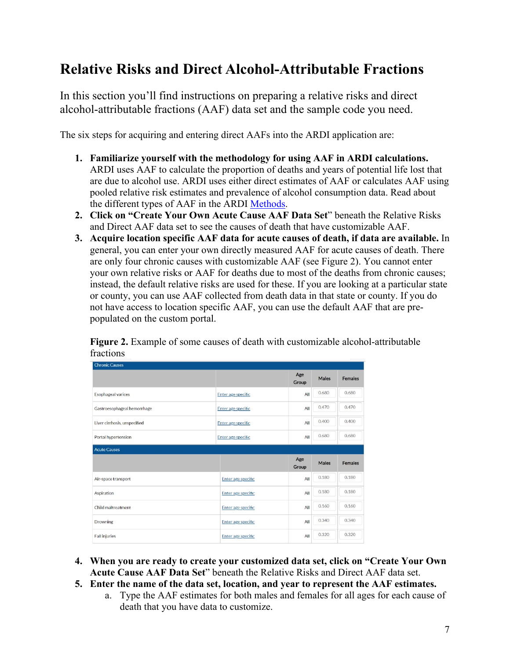# <span id="page-6-0"></span>**Relative Risks and Direct Alcohol-Attributable Fractions**

In this section you'll find instructions on preparing a relative risks and direct alcohol-attributable fractions (AAF) data set and the sample code you need.

The six steps for acquiring and entering direct AAFs into the ARDI application are:

- **1. Familiarize yourself with the methodology for using AAF in ARDI calculations.**  ARDI uses AAF to calculate the proportion of deaths and years of potential life lost that are due to alcohol use. ARDI uses either direct estimates of AAF or calculates AAF using pooled relative risk estimates and prevalence of alcohol consumption data. Read about the different types of AAF in the ARDI [Methods.](https://www.cdc.gov/alcohol/ardi/methods.html)
- **2. Click on "Create Your Own Acute Cause AAF Data Set**" beneath the Relative Risks and Direct AAF data set to see the causes of death that have customizable AAF.
- **3. Acquire location specific AAF data for acute causes of death, if data are available.** In general, you can enter your own directly measured AAF for acute causes of death. There are only four chronic causes with customizable AAF (see Figure 2). You cannot enter your own relative risks or AAF for deaths due to most of the deaths from chronic causes; instead, the default relative risks are used for these. If you are looking at a particular state or county, you can use AAF collected from death data in that state or county. If you do not have access to location specific AAF, you can use the default AAF that are prepopulated on the custom portal.

**Figure 2.** Example of some causes of death with customizable alcohol-attributable fractions

| <b>Chronic Causes</b>        |                           |              |              |                |
|------------------------------|---------------------------|--------------|--------------|----------------|
|                              |                           | Age<br>Group | <b>Males</b> | <b>Females</b> |
| <b>Esophageal varices</b>    | Enter age specific        | All          | 0.680        | 0.680          |
| Gastroesophageal hemorrhage  | Enter age specific        | All          | 0.470        | 0.470          |
| Liver cirrhosis, unspecified | Enter age specific        | All          | 0.400        | 0.400          |
| Portal hypertension          | All<br>Enter age specific |              | 0.680        | 0.680          |
| <b>Acute Causes</b>          |                           |              |              |                |
|                              |                           | Age<br>Group | <b>Males</b> | <b>Females</b> |
| Air-space transport          | Enter age specific        | All          | 0.180        | 0.180          |
| Aspiration                   | Enter age specific        | All          | 0.180        | 0.180          |
| Child maltreatment           | Enter age specific        | All          | 0.160        | 0.160          |
| <b>Drowning</b>              | Enter age specific        | All          | 0.340        | 0.340          |
| <b>Fall injuries</b>         | Enter age specific        | All          | 0.320        | 0.320          |

- **4. When you are ready to create your customized data set, click on "Create Your Own Acute Cause AAF Data Set**" beneath the Relative Risks and Direct AAF data set.
- **5. Enter the name of the data set, location, and year to represent the AAF estimates.** 
	- a. Type the AAF estimates for both males and females for all ages for each cause of death that you have data to customize.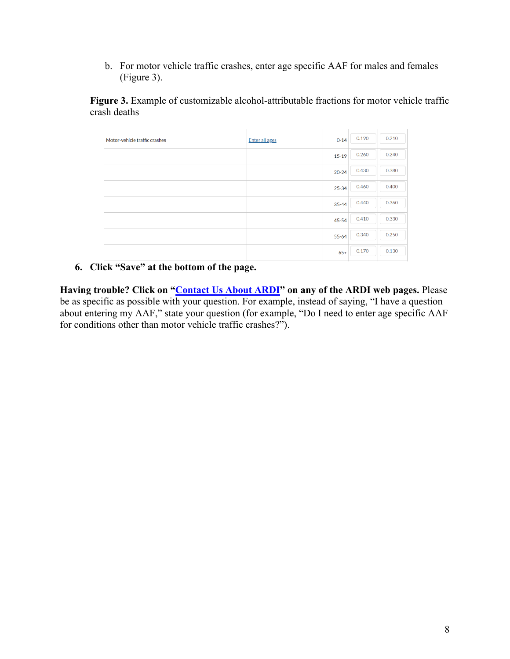b. For motor vehicle traffic crashes, enter age specific AAF for males and females (Figure 3).

Figure 3. Example of customizable alcohol-attributable fractions for motor vehicle traffic crash deaths

| Motor-vehicle traffic crashes | <b>Enter all ages</b> | $0 - 14$  | 0.190 | 0.210 |
|-------------------------------|-----------------------|-----------|-------|-------|
|                               |                       | $15-19$   | 0.260 | 0.240 |
|                               |                       | $20 - 24$ | 0.430 | 0.380 |
|                               |                       | $25 - 34$ | 0.460 | 0.400 |
|                               |                       | $35 - 44$ | 0.440 | 0.360 |
|                               |                       | $45 - 54$ | 0.410 | 0.330 |
|                               |                       | $55 - 64$ | 0.340 | 0.250 |
|                               |                       | $65+$     | 0.170 | 0.130 |
|                               |                       |           |       |       |

#### **6. Click "Save" at the bottom of the page.**

<span id="page-7-0"></span>**Having trouble? Click on ["Contact Us About ARDI"](https://nccd.cdc.gov/DPH_ARDI/Info/ContactUs.aspx) on any of the ARDI web pages.** Please be as specific as possible with your question. For example, instead of saying, "I have a question about entering my AAF," state your question (for example, "Do I need to enter age specific AAF for conditions other than motor vehicle traffic crashes?").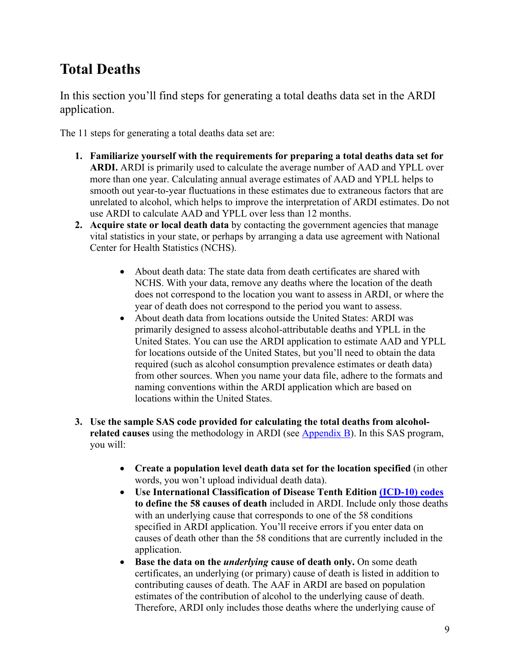# **Total Deaths**

In this section you'll find steps for generating a total deaths data set in the ARDI application.

The 11 steps for generating a total deaths data set are:

- **1. Familiarize yourself with the requirements for preparing a total deaths data set for ARDI.** ARDI is primarily used to calculate the average number of AAD and YPLL over more than one year. Calculating annual average estimates of AAD and YPLL helps to smooth out year-to-year fluctuations in these estimates due to extraneous factors that are unrelated to alcohol, which helps to improve the interpretation of ARDI estimates. Do not use ARDI to calculate AAD and YPLL over less than 12 months.
- **2. Acquire state or local death data** by contacting the government agencies that manage vital statistics in your state, or perhaps by arranging a data use agreement with National Center for Health Statistics (NCHS).
	- About death data: The state data from death certificates are shared with NCHS. With your data, remove any deaths where the location of the death does not correspond to the location you want to assess in ARDI, or where the year of death does not correspond to the period you want to assess.
	- About death data from locations outside the United States: ARDI was primarily designed to assess alcohol-attributable deaths and YPLL in the United States. You can use the ARDI application to estimate AAD and YPLL for locations outside of the United States, but you'll need to obtain the data required (such as alcohol consumption prevalence estimates or death data) from other sources. When you name your data file, adhere to the formats and naming conventions within the ARDI application which are based on locations within the United States.
- **3. Use the sample SAS code provided for calculating the total deaths from alcoholrelated causes** using the methodology in ARDI (see [Appendix B\)](#page-19-0). In this SAS program, you will:
	- **Create a population level death data set for the location specified** (in other words, you won't upload individual death data).
	- **Use International Classification of Disease Tenth Edition [\(ICD-10\) codes](https://www.cdc.gov/alcohol/ardi/alcohol-related-icd-codes.html) to define the 58 causes of death** included in ARDI. Include only those deaths with an underlying cause that corresponds to one of the 58 conditions specified in ARDI application. You'll receive errors if you enter data on causes of death other than the 58 conditions that are currently included in the application.
	- **Base the data on the** *underlying* **cause of death only.** On some death certificates, an underlying (or primary) cause of death is listed in addition to contributing causes of death. The AAF in ARDI are based on population estimates of the contribution of alcohol to the underlying cause of death. Therefore, ARDI only includes those deaths where the underlying cause of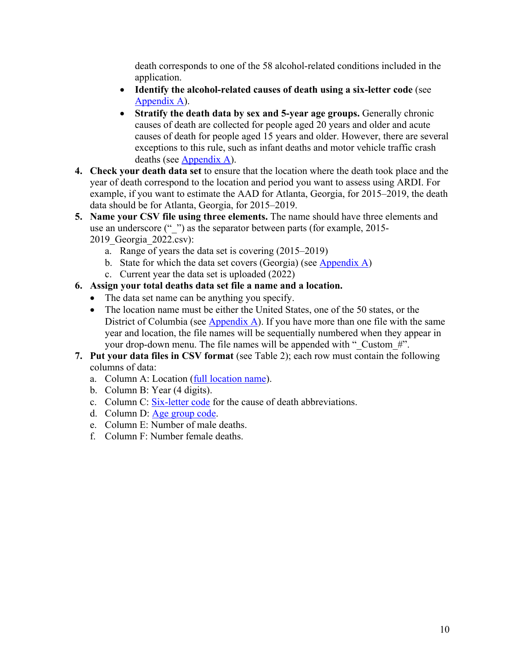death corresponds to one of the 58 alcohol-related conditions included in the application.

- **Identify the alcohol-related causes of death using a six-letter code** (see [Appendix A\)](#page-14-2).
- Stratify the death data by sex and 5-year age groups. Generally chronic causes of death are collected for people aged 20 years and older and acute causes of death for people aged 15 years and older. However, there are several exceptions to this rule, such as infant deaths and motor vehicle traffic crash deaths (see [Appendix A\)](#page-14-2).
- **4. Check your death data set** to ensure that the location where the death took place and the year of death correspond to the location and period you want to assess using ARDI. For example, if you want to estimate the AAD for Atlanta, Georgia, for 2015–2019, the death data should be for Atlanta, Georgia, for 2015–2019.
- **5. Name your CSV file using three elements.** The name should have three elements and use an underscore ("") as the separator between parts (for example, 2015-2019\_Georgia\_2022.csv):
	- a. Range of years the data set is covering (2015–2019)
	- b. State for which the data set covers (Georgia) (see [Appendix A\)](#page-16-0)
	- c. Current year the data set is uploaded (2022)
- **6. Assign your total deaths data set file a name and a location.** 
	- The data set name can be anything you specify.
	- The location name must be either the United States, one of the 50 states, or the District of Columbia (see [Appendix A\)](#page-16-0). If you have more than one file with the same year and location, the file names will be sequentially numbered when they appear in your drop-down menu. The file names will be appended with " Custom #".
- **7. Put your data files in CSV format** (see Table 2); each row must contain the following columns of data:
	- a. Column A: Location [\(full location name\)](#page-16-0).
	- b. Column B: Year (4 digits).
	- c. Column C: [Six-letter](#page-14-2) code for the cause of death abbreviations.
	- d. Column D: [Age group code.](#page-17-1)
	- e. Column E: Number of male deaths.
	- f. Column F: Number female deaths.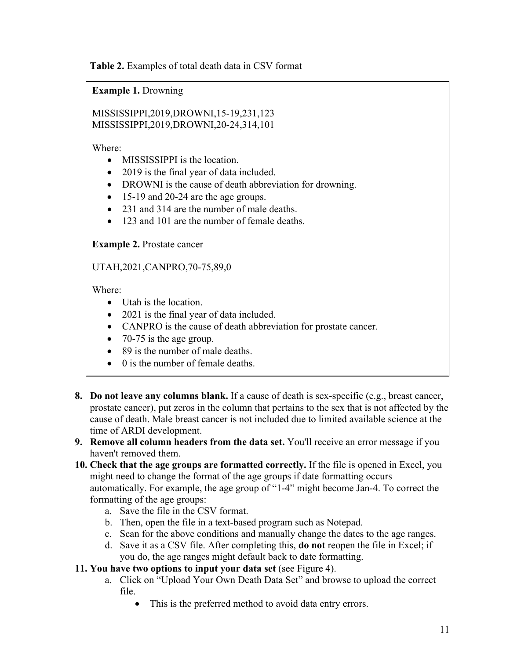**Table 2.** Examples of total death data in CSV format

**Example 1.** Drowning

MISSISSIPPI,2019,DROWNI,15-19,231,123 MISSISSIPPI,2019,DROWNI,20-24,314,101

Where:

- MISSISSIPPI is the location.
- 2019 is the final year of data included.
- DROWNI is the cause of death abbreviation for drowning.
- 15-19 and 20-24 are the age groups.
- 231 and 314 are the number of male deaths.
- 123 and 101 are the number of female deaths.

**Example 2.** Prostate cancer

UTAH,2021,CANPRO,70-75,89,0

Where:

- Utah is the location.
- 2021 is the final year of data included.
- CANPRO is the cause of death abbreviation for prostate cancer.
- 70-75 is the age group.
- 89 is the number of male deaths.
- 0 is the number of female deaths.
- **8. Do not leave any columns blank.** If a cause of death is sex-specific (e.g., breast cancer, prostate cancer), put zeros in the column that pertains to the sex that is not affected by the cause of death. Male breast cancer is not included due to limited available science at the time of ARDI development.
- **9. Remove all column headers from the data set.** You'll receive an error message if you haven't removed them.
- **10. Check that the age groups are formatted correctly.** If the file is opened in Excel, you might need to change the format of the age groups if date formatting occurs automatically. For example, the age group of "1-4" might become Jan-4. To correct the formatting of the age groups:
	- a. Save the file in the CSV format.
	- b. Then, open the file in a text-based program such as Notepad.
	- c. Scan for the above conditions and manually change the dates to the age ranges.
	- d. Save it as a CSV file. After completing this, **do not** reopen the file in Excel; if you do, the age ranges might default back to date formatting.

#### **11. You have two options to input your data set** (see Figure 4).

- a. Click on "Upload Your Own Death Data Set" and browse to upload the correct file.
	- This is the preferred method to avoid data entry errors.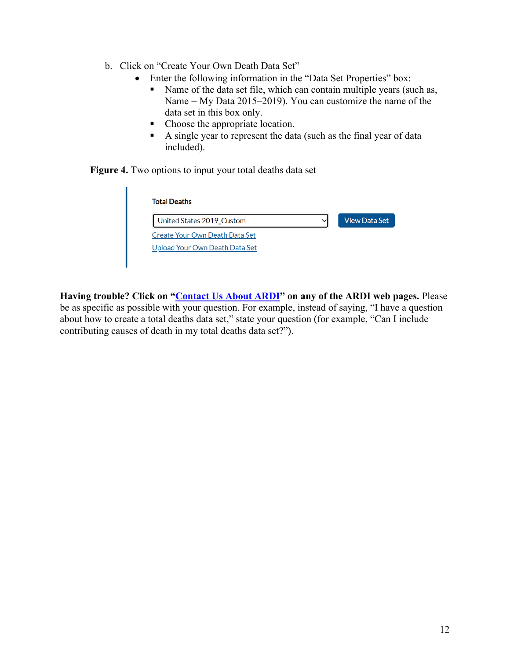- b. Click on "Create Your Own Death Data Set"
	- Enter the following information in the "Data Set Properties" box:
		- Name of the data set file, which can contain multiple years (such as, Name = My Data 2015–2019). You can customize the name of the data set in this box only.
		- Choose the appropriate location.
		- A single year to represent the data (such as the final year of data included).

**Figure 4.** Two options to input your total deaths data set

 $\mathbf{I}$ 

| <b>Total Deaths</b>            |                      |
|--------------------------------|----------------------|
| United States 2019_Custom      | <b>View Data Set</b> |
| Create Your Own Death Data Set |                      |
| Upload Your Own Death Data Set |                      |

<span id="page-11-0"></span>**Having trouble? Click on ["Contact Us About ARDI"](https://nccd.cdc.gov/DPH_ARDI/Info/ContactUs.aspx) on any of the ARDI web pages.** Please be as specific as possible with your question. For example, instead of saying, "I have a question about how to create a total deaths data set," state your question (for example, "Can I include contributing causes of death in my total deaths data set?").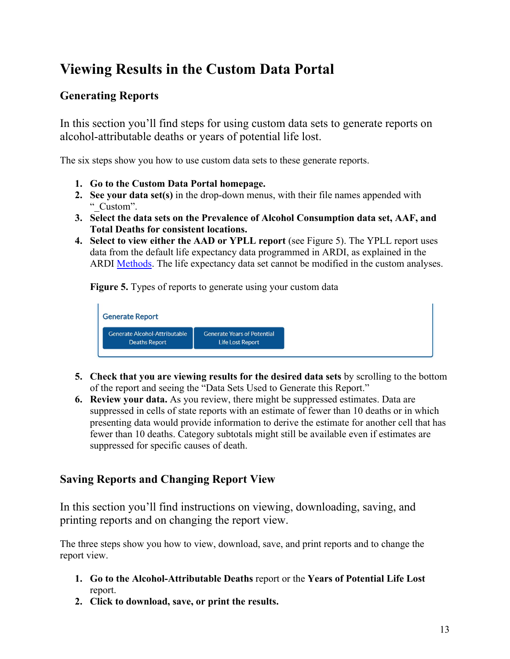# **Viewing Results in the Custom Data Portal**

## <span id="page-12-0"></span>**Generating Reports**

In this section you'll find steps for using custom data sets to generate reports on alcohol-attributable deaths or years of potential life lost.

The six steps show you how to use custom data sets to these generate reports.

- **1. Go to the Custom Data Portal homepage.**
- **2. See your data set(s)** in the drop-down menus, with their file names appended with " Custom".
- **3. Select the data sets on the Prevalence of Alcohol Consumption data set, AAF, and Total Deaths for consistent locations.**
- **4. Select to view either the AAD or YPLL report** (see Figure 5). The YPLL report uses data from the default life expectancy data programmed in ARDI, as explained in the ARDI [Methods.](https://www.cdc.gov/alcohol/ardi/methods.html) The life expectancy data set cannot be modified in the custom analyses.

**Figure 5.** Types of reports to generate using your custom data



- **5. Check that you are viewing results for the desired data sets** by scrolling to the bottom of the report and seeing the "Data Sets Used to Generate this Report."
- **6. Review your data.** As you review, there might be suppressed estimates. Data are suppressed in cells of state reports with an estimate of fewer than 10 deaths or in which presenting data would provide information to derive the estimate for another cell that has fewer than 10 deaths. Category subtotals might still be available even if estimates are suppressed for specific causes of death.

### <span id="page-12-1"></span>**Saving Reports and Changing Report View**

In this section you'll find instructions on viewing, downloading, saving, and printing reports and on changing the report view.

The three steps show you how to view, download, save, and print reports and to change the report view.

- **1. Go to the Alcohol-Attributable Deaths** report or the **Years of Potential Life Lost**  report.
- **2. Click to download, save, or print the results.**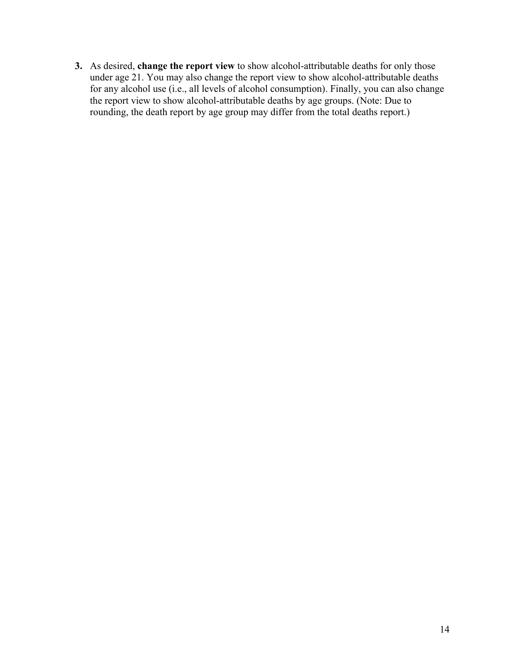**3.** As desired, **change the report view** to show alcohol-attributable deaths for only those under age 21. You may also change the report view to show alcohol-attributable deaths for any alcohol use (i.e., all levels of alcohol consumption). Finally, you can also change the report view to show alcohol-attributable deaths by age groups. (Note: Due to rounding, the death report by age group may differ from the total deaths report.)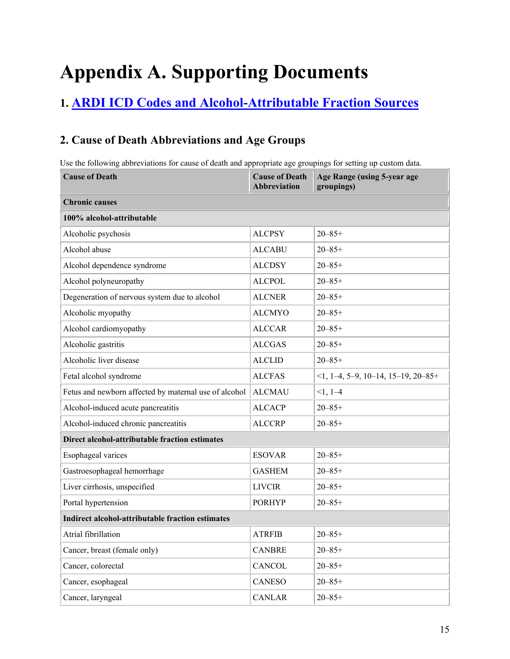# <span id="page-14-0"></span>**Appendix A. Supporting Documents**

# <span id="page-14-1"></span>**1. ARDI ICD Codes [and Alcohol-Attributable Fraction Sources](https://www.cdc.gov/alcohol/ardi/alcohol-related-icd-codes.html)**

## <span id="page-14-2"></span>**2. Cause of Death Abbreviations and Age Groups**

Use the following abbreviations for cause of death and appropriate age groupings for setting up custom data.

| <b>Cause of Death</b>                                   | <b>Cause of Death</b><br><b>Abbreviation</b> | Age Range (using 5-year age<br>groupings) |  |  |  |  |  |
|---------------------------------------------------------|----------------------------------------------|-------------------------------------------|--|--|--|--|--|
| <b>Chronic causes</b>                                   |                                              |                                           |  |  |  |  |  |
| 100% alcohol-attributable                               |                                              |                                           |  |  |  |  |  |
| Alcoholic psychosis                                     | <b>ALCPSY</b>                                | $20 - 85 +$                               |  |  |  |  |  |
| Alcohol abuse                                           | <b>ALCABU</b>                                | $20 - 85 +$                               |  |  |  |  |  |
| Alcohol dependence syndrome                             | <b>ALCDSY</b>                                | $20 - 85 +$                               |  |  |  |  |  |
| Alcohol polyneuropathy                                  | <b>ALCPOL</b>                                | $20 - 85 +$                               |  |  |  |  |  |
| Degeneration of nervous system due to alcohol           | <b>ALCNER</b>                                | $20 - 85 +$                               |  |  |  |  |  |
| Alcoholic myopathy                                      | <b>ALCMYO</b>                                | $20 - 85 +$                               |  |  |  |  |  |
| Alcohol cardiomyopathy                                  | <b>ALCCAR</b>                                | $20 - 85 +$                               |  |  |  |  |  |
| Alcoholic gastritis                                     | <b>ALCGAS</b>                                | $20 - 85 +$                               |  |  |  |  |  |
| Alcoholic liver disease                                 | <b>ALCLID</b>                                | $20 - 85 +$                               |  |  |  |  |  |
| Fetal alcohol syndrome                                  | <b>ALCFAS</b>                                | $\leq$ 1, 1–4, 5–9, 10–14, 15–19, 20–85+  |  |  |  |  |  |
| Fetus and newborn affected by maternal use of alcohol   | <b>ALCMAU</b>                                | $<1, 1-4$                                 |  |  |  |  |  |
| Alcohol-induced acute pancreatitis                      | <b>ALCACP</b>                                | $20 - 85 +$                               |  |  |  |  |  |
| Alcohol-induced chronic pancreatitis                    | <b>ALCCRP</b>                                | $20 - 85 +$                               |  |  |  |  |  |
| Direct alcohol-attributable fraction estimates          |                                              |                                           |  |  |  |  |  |
| Esophageal varices                                      | <b>ESOVAR</b>                                | $20 - 85 +$                               |  |  |  |  |  |
| Gastroesophageal hemorrhage                             | <b>GASHEM</b>                                | $20 - 85 +$                               |  |  |  |  |  |
| Liver cirrhosis, unspecified                            | <b>LIVCIR</b>                                | $20 - 85 +$                               |  |  |  |  |  |
| Portal hypertension                                     | <b>PORHYP</b>                                | $20 - 85 +$                               |  |  |  |  |  |
| <b>Indirect alcohol-attributable fraction estimates</b> |                                              |                                           |  |  |  |  |  |
| Atrial fibrillation                                     | <b>ATRFIB</b>                                | $20 - 85 +$                               |  |  |  |  |  |
| Cancer, breast (female only)                            | <b>CANBRE</b>                                | $20 - 85 +$                               |  |  |  |  |  |
| Cancer, colorectal                                      | <b>CANCOL</b>                                | $20 - 85 +$                               |  |  |  |  |  |
| Cancer, esophageal                                      | CANESO                                       | $20 - 85 +$                               |  |  |  |  |  |
| Cancer, laryngeal                                       | <b>CANLAR</b>                                | $20 - 85 +$                               |  |  |  |  |  |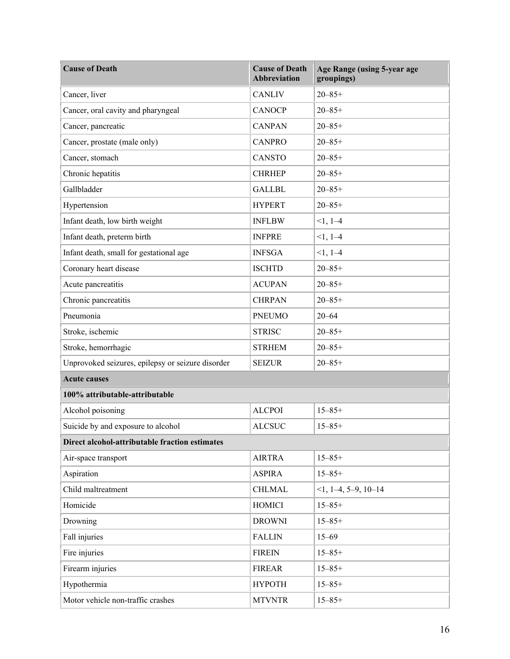| <b>Cause of Death</b>                             | <b>Cause of Death</b><br><b>Abbreviation</b> | Age Range (using 5-year age<br>groupings) |
|---------------------------------------------------|----------------------------------------------|-------------------------------------------|
| Cancer, liver                                     | <b>CANLIV</b>                                | $20 - 85 +$                               |
| Cancer, oral cavity and pharyngeal                | <b>CANOCP</b>                                | $20 - 85 +$                               |
| Cancer, pancreatic                                | <b>CANPAN</b>                                | $20 - 85 +$                               |
| Cancer, prostate (male only)                      | <b>CANPRO</b>                                | $20 - 85 +$                               |
| Cancer, stomach                                   | <b>CANSTO</b>                                | $20 - 85 +$                               |
| Chronic hepatitis                                 | <b>CHRHEP</b>                                | $20 - 85 +$                               |
| Gallbladder                                       | <b>GALLBL</b>                                | $20 - 85 +$                               |
| Hypertension                                      | <b>HYPERT</b>                                | $20 - 85 +$                               |
| Infant death, low birth weight                    | <b>INFLBW</b>                                | $<1, 1-4$                                 |
| Infant death, preterm birth                       | <b>INFPRE</b>                                | $<1, 1-4$                                 |
| Infant death, small for gestational age           | <b>INFSGA</b>                                | $<1, 1-4$                                 |
| Coronary heart disease                            | <b>ISCHTD</b>                                | $20 - 85 +$                               |
| Acute pancreatitis                                | <b>ACUPAN</b>                                | $20 - 85 +$                               |
| Chronic pancreatitis                              | <b>CHRPAN</b>                                | $20 - 85 +$                               |
| Pneumonia                                         | <b>PNEUMO</b>                                | $20 - 64$                                 |
| Stroke, ischemic                                  | <b>STRISC</b>                                | $20 - 85 +$                               |
| Stroke, hemorrhagic                               | <b>STRHEM</b>                                | $20 - 85 +$                               |
| Unprovoked seizures, epilepsy or seizure disorder | <b>SEIZUR</b>                                | $20 - 85 +$                               |
| <b>Acute causes</b>                               |                                              |                                           |
| 100% attributable-attributable                    |                                              |                                           |
| Alcohol poisoning                                 | <b>ALCPOI</b>                                | $15 - 85 +$                               |
| Suicide by and exposure to alcohol                | <b>ALCSUC</b>                                | $15 - 85 +$                               |
| Direct alcohol-attributable fraction estimates    |                                              |                                           |
| Air-space transport                               | <b>AIRTRA</b>                                | $15 - 85 +$                               |
| Aspiration                                        | <b>ASPIRA</b>                                | $15 - 85 +$                               |
| Child maltreatment                                | <b>CHLMAL</b>                                | $<1, 1-4, 5-9, 10-14$                     |
| Homicide                                          | <b>HOMICI</b>                                | $15 - 85 +$                               |
| Drowning                                          | <b>DROWNI</b>                                | $15 - 85 +$                               |
| Fall injuries                                     | <b>FALLIN</b>                                | $15 - 69$                                 |
| Fire injuries                                     | <b>FIREIN</b>                                | $15 - 85 +$                               |
| Firearm injuries                                  | <b>FIREAR</b>                                | $15 - 85 +$                               |
| Hypothermia                                       | НҮРОТН                                       | $15 - 85 +$                               |
| Motor vehicle non-traffic crashes                 | <b>MTVNTR</b>                                | $15 - 85 +$                               |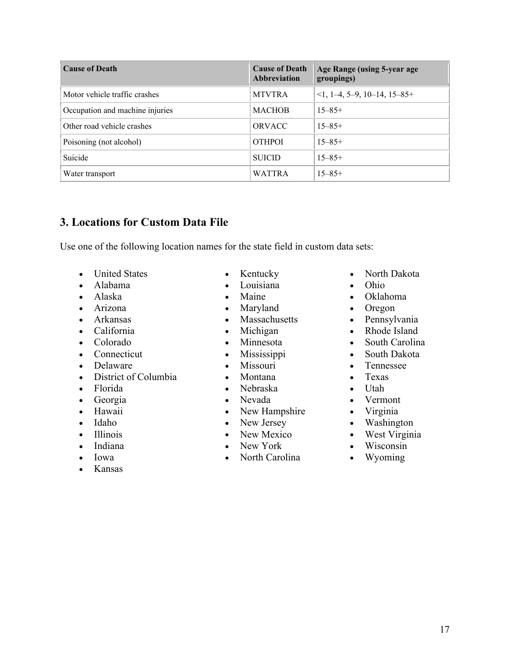| <b>Cause of Death</b>           | <b>Cause of Death</b><br>Abbreviation | Age Range (using 5-year age<br>groupings) |
|---------------------------------|---------------------------------------|-------------------------------------------|
| Motor vehicle traffic crashes   | <b>MTVTRA</b>                         | $\leq$ 1, 1–4, 5–9, 10–14, 15–85+         |
| Occupation and machine injuries | <b>MACHOB</b>                         | $15 - 85 +$                               |
| Other road vehicle crashes      | <b>ORVACC</b>                         | $15 - 85 +$                               |
| Poisoning (not alcohol)         | <b>OTHPOI</b>                         | $15 - 85 +$                               |
| Suicide                         | <b>SUICID</b>                         | $15 - 85 +$                               |
| Water transport                 | <b>WATTRA</b>                         | $15 - 85 +$                               |

#### <span id="page-16-0"></span>**3. Locations for Custom Data File**

Use one of the following location names for the state field in custom data sets:

•

- United States
- Alabama
- Alaska
- Arizona
- Arkansas
- California
- Colorado
- Connecticut
- Delaware
- District of Columbia
- Florida
- Georgia
- Hawaii
- Idaho
- Illinois
- Indiana
- Iowa
- Kansas
- Kentucky
- Louisiana
- Maine
- Maryland
- Massachusetts
- Michigan
- Minnesota
- Mississippi
- Missouri
- Montana
- Nebraska
- Nevada
- New Hampshire
- New Jersey
- New Mexico
- New York
- North Carolina
- North Dakota
- Ohio
- Oklahoma
- Oregon
- Pennsylvania
- Rhode Island
- South Carolina
- South Dakota
- Tennessee
- Texas
- Utah
- Vermont
- Virginia
- $\bullet$ Washington
- West Virginia
- Wisconsin
- Wyoming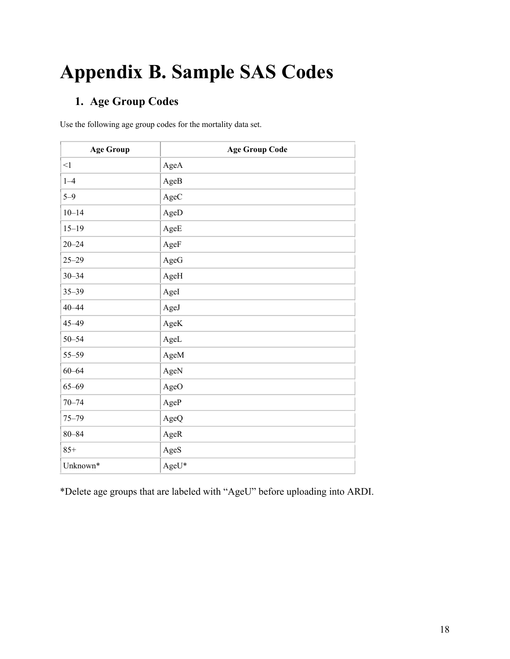# <span id="page-17-3"></span><span id="page-17-0"></span>**Appendix B. Sample SAS Codes**

## <span id="page-17-1"></span>**1. Age Group Codes**

Use the following age group codes for the mortality data set.

| <b>Age Group</b> | <b>Age Group Code</b> |
|------------------|-----------------------|
| $\leq$ 1         | AgeA                  |
| $1 - 4$          | AgeB                  |
| $5 - 9$          | AgeC                  |
| $10 - 14$        | AgeD                  |
| $15 - 19$        | AgeE                  |
| $20 - 24$        | AgeF                  |
| $25 - 29$        | AgeG                  |
| $30 - 34$        | AgeH                  |
| $35 - 39$        | AgeI                  |
| $40 - 44$        | AgeJ                  |
| 45-49            | AgeK                  |
| $50 - 54$        | AgeL                  |
| $55 - 59$        | AgeM                  |
| $60 - 64$        | AgeN                  |
| $65 - 69$        | AgeO                  |
| $70 - 74$        | AgeP                  |
| $75 - 79$        | AgeQ                  |
| $80 - 84$        | AgeR                  |
| $85+$            | AgeS                  |
| Unknown*         | AgeU*                 |

<span id="page-17-2"></span>\*Delete age groups that are labeled with "AgeU" before uploading into ARDI.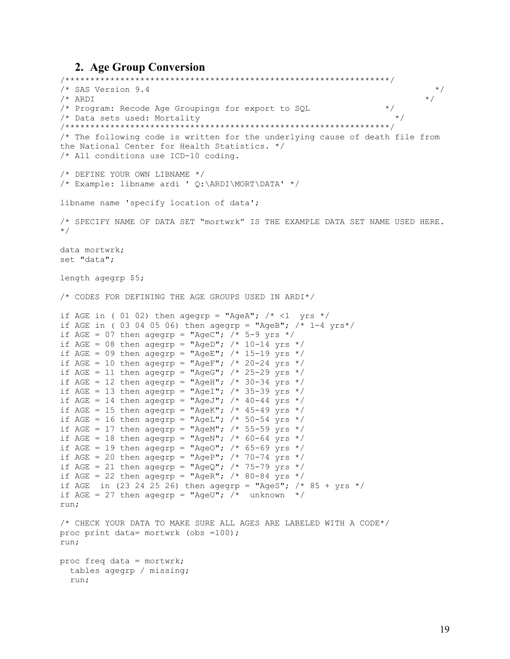#### 2. Age Group Conversion

```
/* SAS Version 9.4
                                                                       \star/\star /
/* ARDI
/* Program: Recode Age Groupings for export to SQL
                                                              \star /
                                                                \star /
/* Data sets used: Mortality
/* The following code is written for the underlying cause of death file from
the National Center for Health Statistics. */
/* All conditions use ICD-10 coding.
/* DEFINE YOUR OWN LIBNAME */
/* Example: libname ardi ' Q:\ARDI\MORT\DATA' */
libname name 'specify location of data';
/* SPECIFY NAME OF DATA SET "mortwrk" IS THE EXAMPLE DATA SET NAME USED HERE.
\star /
data mortwrk;
set "data";
length agegrp $5;
/* CODES FOR DEFINING THE AGE GROUPS USED IN ARDI*/
if AGE in (01 02) then agegrp = "AgeA"; /* <1 yrs */
if AGE in (03 04 05 06) then agegrp = "AgeB"; /* 1-4 \text{ yrs*/}if AGE = 07 then agegrp = "AgeC"; /* 5-9 yrs */if AGE = 08 then agegrp = "AgeD"; /* 10-14 yrs */
if AGE = 09 then agegrp = "AgeE"; /* 15-19 yrs */if AGE = 10 then agegrp = "AgeF"; /* 20-24 yrs */
if AGE = 11 then agegrp = "AgeG"; /* 25-29 yrs */
if AGE = 12 then agegrp = "AgeH"; /* 30-34 yrs */
if AGE = 13 then agegrp = "AgeI"; /* 35-39 yrs */
if AGE = 14 then agegrp = "AgeJ"; /* 40-44 yrs */
if AGE = 15 then agegrp = "AgeK"; /* 45-49 yrs */
if AGE = 16 then agegrp = "AgeL"; /* 50-54 yrs */
if AGE = 17 then agegrp = "AgeM"; /* 55-59 yrs */
if AGE = 18 then agegrp = "AgeN"; /* 60-64 yrs */
if AGE = 19 then agegrp = "AgeO"; /* 65-69 yrs */
if AGE = 20 then agegrp = "AgeP"; /* 70-74 yrs */
if AGE = 21 then agegrp = "AgeQ"; /* 75-79 yrs */
if AGE = 22 then agegrp = "AgeR"; /* 80-84 yrs */
if AGE in (23 24 25 26) then agegrp = "AgeS"; /* 85 + yrs */
if AGE = 27 then agegrp = "AgeU"; /* unknown */run:
/* CHECK YOUR DATA TO MAKE SURE ALL AGES ARE LABELED WITH A CODE*/
proc print data= mortwrk (obs =100);
run;
proc freq data = mortwrk;tables agegrp / missing;
  run;
```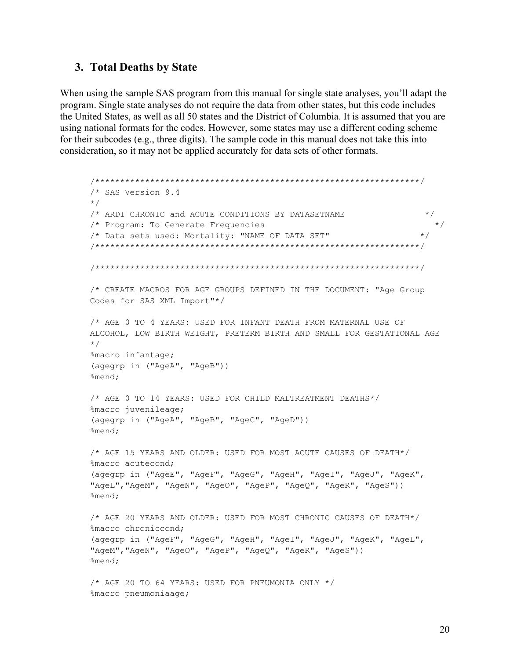#### <span id="page-19-0"></span>3. Total Deaths by State

When using the sample SAS program from this manual for single state analyses, you'll adapt the program. Single state analyses do not require the data from other states, but this code includes the United States, as well as all 50 states and the District of Columbia. It is assumed that you are using national formats for the codes. However, some states may use a different coding scheme for their subcodes (e.g., three digits). The sample code in this manual does not take this into consideration, so it may not be applied accurately for data sets of other formats.

```
/* SAS Version 9.4
\star//* ARDI CHRONIC and ACUTE CONDITIONS BY DATASETNAME
                                                          \star /
/* Program: To Generate Frequencies
                                                           \star//* Data sets used: Mortality: "NAME OF DATA SET"
                                                         \star /
/* CREATE MACROS FOR AGE GROUPS DEFINED IN THE DOCUMENT: "Age Group
Codes for SAS XML Import"*/
/* AGE 0 TO 4 YEARS: USED FOR INFANT DEATH FROM MATERNAL USE OF
ALCOHOL, LOW BIRTH WEIGHT, PRETERM BIRTH AND SMALL FOR GESTATIONAL AGE
\star/%macro infantage;
(agegrp in ("AgeA", "AgeB"))
%mend;
/* AGE 0 TO 14 YEARS: USED FOR CHILD MALTREATMENT DEATHS*/
%macro juvenileage;
(agegrp in ("AgeA", "AgeB", "AgeC", "AgeD"))
%mend;
/* AGE 15 YEARS AND OLDER: USED FOR MOST ACUTE CAUSES OF DEATH*/
%macro acutecond;
(agegrp in ("AgeE", "AgeF", "AgeG", "AgeH", "AgeI", "AgeJ", "AgeK",
"AgeL", "AgeM", "AgeN", "AgeO", "AgeP", "AgeQ", "AgeR", "AgeS"))
%mend;
/* AGE 20 YEARS AND OLDER: USED FOR MOST CHRONIC CAUSES OF DEATH*/
%macro chroniccond;
(agegrp in ("AgeF", "AgeG", "AgeH", "AgeI", "AgeJ", "AgeK", "AgeL",
"AgeM", "AgeN", "AgeO", "AgeP", "AgeQ", "AgeR", "AgeS"))
%mend;
/* AGE 20 TO 64 YEARS: USED FOR PNEUMONIA ONLY */%macro pneumoniaage;
```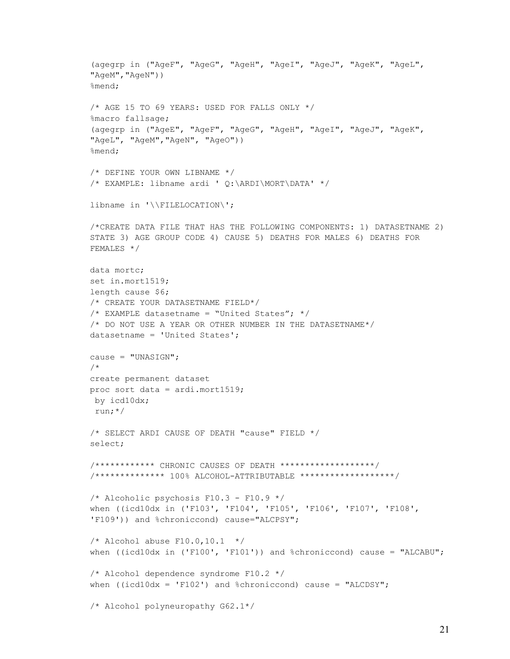```
(agegrp in ("AgeF", "AgeG", "AgeH", "AgeI", "AgeJ", "AgeK", "AgeL",
"AgeM", "AgeN") )
%mend;
/* AGE 15 TO 69 YEARS: USED FOR FALLS ONLY */
%macro fallsage;
(agegrp in ("AgeE", "AgeF", "AgeG", "AgeH", "AgeI", "AgeJ", "AgeK",
"AgeL", "AgeM", "AgeN", "AgeO"))
%mend;
/* DEFINE YOUR OWN LIBNAME */
/* EXAMPLE: libname ardi ' Q:\ARDI\MORT\DATA' */
libname in '\\FILELOCATION\';
/*CREATE DATA FILE THAT HAS THE FOLLOWING COMPONENTS: 1) DATASETNAME 2)
STATE 3) AGE GROUP CODE 4) CAUSE 5) DEATHS FOR MALES 6) DEATHS FOR
FEMALES */
data mortc;
set in.mort1519;
length cause $6;
/* CREATE YOUR DATASETNAME FIELD*/
/* EXAMPLE datasetname = "United States"; */
/* DO NOT USE A YEAR OR OTHER NUMBER IN THE DATASETNAME*/
datasetname = 'United States';
cause = "UNASIGN";
/ *
create permanent dataset
proc sort data = ardi.mort1519;
by icd10dx;
run:*//* SELECT ARDI CAUSE OF DEATH "cause" FIELD */
select;
/************ CHRONIC CAUSES OF DEATH *******************/
/************** 100% ALCOHOL-ATTRIBUTABLE *******************/
/* Alcoholic psychosis F10.3 - F10.9 */
when ((icd10dx in ('F103', 'F104', 'F105', 'F106', 'F107', 'F108',
'F109')) and %chroniccond) cause="ALCPSY";
/* Alcohol abuse F10.0, 10.1 */
when ((icd10dx in ('F100', 'F101')) and %chroniccond) cause = "ALCABU";
/* Alcohol dependence syndrome F10.2 */
when ((icd10dx = 'F102') and kchroniccond) cause = "ALCDSY";
/* Alcohol polyneuropathy G62.1*/
```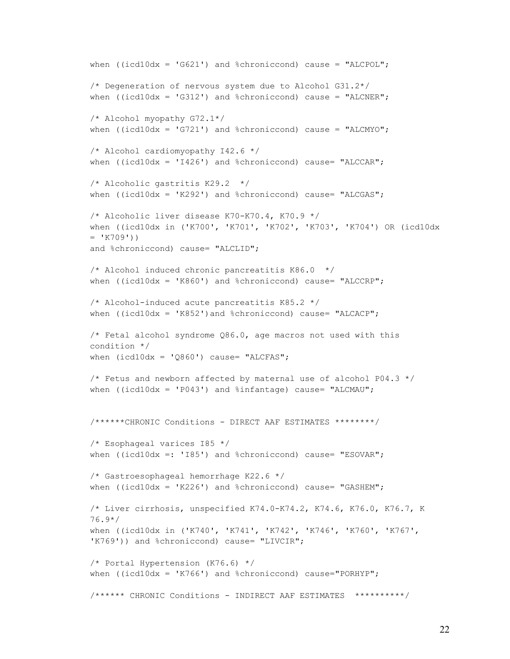```
when ((icd10dx = 'G621') and %chroniccond) cause = "ALCPOL";
/* Degeneration of nervous system due to Alcohol G31.2*/
when ((icd10dx = 'G312') and %chroniccond) cause = "ALCNER";
/* Alcohol myopathy G72.1*/
when ((icd10dx = 'G721') and %chroniccond) cause = "ALCMYO";
/* Alcohol cardiomyopathy I42.6 */
when ((icd10dx = 'I426') and %chroniccond) cause= "ALCCAR";
/* Alcoholic gastritis K29.2 */
when ((icd10dx = 'K292') and %chroniccond) cause= "ALCGAS";
/* Alcoholic liver disease K70-K70.4, K70.9 */
when ((icd10dx in ('K700', 'K701', 'K702', 'K703', 'K704') OR (icd10dx 
= 'K709'))
and %chroniccond) cause= "ALCLID";
/* Alcohol induced chronic pancreatitis K86.0 */
when ((icd10dx = 'K860') and %chroniccond) cause= "ALCCR";
/* Alcohol-induced acute pancreatitis K85.2 */
when ((icd10dx = 'K852') and %chroniccond) cause= "ALCACP";
/* Fetal alcohol syndrome Q86.0, age macros not used with this 
condition */
when (icd10dx = 'Q860') cause= "ALCFAS";
/* Fetus and newborn affected by maternal use of alcohol P04.3 */when ((icd10dx = 'P043') and \sinfantage) cause= "ALCMAU";
/******CHRONIC Conditions - DIRECT AAF ESTIMATES ********/
/* Esophageal varices I85 */
when ((icd10dx =: 'I85') and %chroniccond) cause= "ESOVAR";
/* Gastroesophageal hemorrhage K22.6 */
when ((icd10dx = 'K226') and %chroniccond) cause= "GASHEM";
/* Liver cirrhosis, unspecified K74.0-K74.2, K74.6, K76.0, K76.7, K 
76.9*/
when ((icd10dx in ('K740', 'K741', 'K742', 'K746', 'K760', 'K767', 
'K769')) and %chroniccond) cause= "LIVCIR";
/* Portal Hypertension (K76.6) */
when ((icd10dx = 'K766') and %chroniccond) cause="PORHYP";
/****** CHRONIC Conditions - INDIRECT AAF ESTIMATES **********/
```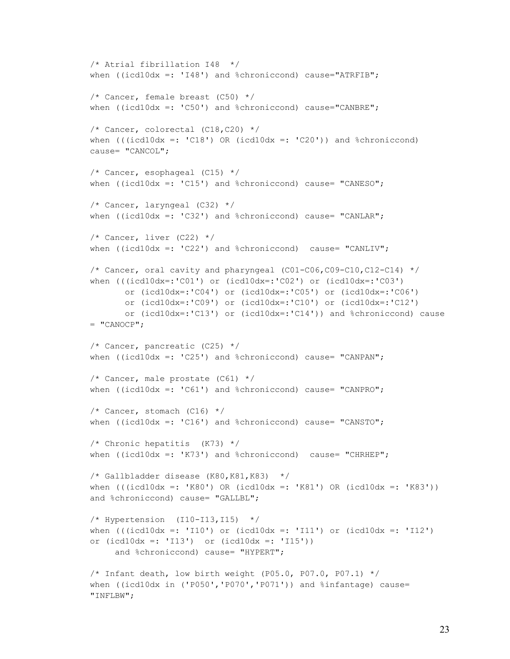```
/* Atrial fibrillation I48 */ 
when ((icd10dx =: 'I48') and %chroniccond) cause="ATRFIB";
/* Cancer, female breast (C50) */when ((icd10dx =: 'C50') and %chroniccond) cause="CANBRE";
/* Cancer, colorectal (C18,C20) */when (((icd10dx =: 'C18') OR (icd10dx =: 'C20')) and %chroniccond)cause= "CANCOL";
/* Cancer, esophageal (C15) */
when ((icd10dx =: 'C15') and %chroniccond) cause= "CANESO";
/* Cancer, laryngeal (C32) */
when ((icd10dx =: 'C32') and %chroniccond) cause= "CANLAR";
/* Cancer, liver (C22) */
when ((icd10dx =: 'C22') and %chroniccond) cause= "CANLIV";
/* Cancer, oral cavity and pharyngeal (C01-C06, C09-C10, C12-C14) */
when (((icd10dx=:'C01') or (icd10dx=:'C02') or (icd10dx=:'C03')
       or (icd10dx=:'C04') or (icd10dx=:'C05') or (icd10dx=:'C06')
       or (icd10dx=:'C09') or (icd10dx=:'C10') or (icd10dx=:'C12')
       or (icd10dx=:'C13') or (icd10dx=:'C14')) and %chroniccond) cause 
= "CANOCP";
/* Cancer, pancreatic (C25) */ 
when ((icd10dx =: 'C25') and %chroniccond) cause= "CANPAN";
/* Cancer, male prostate (C61) */ 
when ((icd10dx == 'C61') and %chroniccond) cause= "CANPRO";
/* Cancer, stomach (C16) */ 
when ((icd10dx =: 'C16') and %chroniccond) cause= "CANSTO";
/* Chronic hepatitis (K73) */
when ((icd10dx =: 'K73') and %chroniccond) cause= "CHRHEP";
/* Gallbladder disease (K80, K81, K83) */
when (((icd10dx =: 'K80') OR (icd10dx =: 'K81') OR (icd10dx =: 'K83'))and %chroniccond) cause= "GALLBL";
/* Hypertension (I10-I13, I15) */when (((icd10dx =: 'I10') or (icd10dx =: 'I11') or (icd10dx =: 'I12')or (icd10dx =: 'I13') or (icd10dx =: 'I15'))and %chroniccond) cause= "HYPERT";
/* Infant death, low birth weight (P05.0, P07.0, P07.1) */ 
when ((icd10dx in ('P050','P070','P071')) and %infantage) cause=
"INFLBW";
```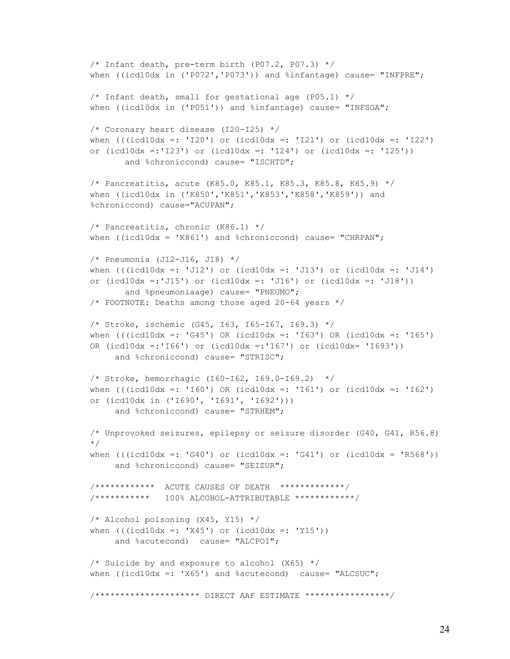```
/* Infant death, pre-term birth (P07.2, P07.3) */ 
when ((icd10dx in ('P072','P073')) and %infantage) cause= "INFPRE";
/* Infant death, small for gestational age (P05.1) */ 
when ((icd10dx in ('P051')) and %infantage) cause= "INFSGA";
/* Coronary heart disease (I20-I25) */
when (((icd10dx =: 'I20') or (icd10dx =: 'I21') or (icd10dx =: 'I22')or (icd10dx =:'I23') or (icd10dx =: 'I24') or (icd10dx =: 'I25'))
       and %chroniccond) cause= "ISCHTD";
/* Pancreatitis, acute (K85.0, K85.1, K85.3, K85.8, K85.9) */
when ((icd10dx in ('K850','K851','K853','K858','K859')) and 
%chroniccond) cause="ACUPAN"; 
/* Pancreatitis, chronic (K86.1) */
when ((icd10dx = 'K861') and % chroniccond) cause= "CHRPAN";
/* Pneumonia (J12-J16, J18) */
when ((icd10dx =: 'J12') or (icd10dx =: 'J13') or (icd10dx -: 'J14')or (icd10dx =:'J15') or (icd10dx =: 'J16') or (icd10dx =: 'J18'))
        and %pneumoniaage) cause= "PNEUMO";
/* FOOTNOTE: Deaths among those aged 20-64 years */
/* Stroke, ischemic (G45, I63, I65-I67, I69.3) */
when ((i c d 10 dx =: 'G45') OR (ic d 10 dx =: 'I63') OR (ic d 10 dx =: 'I65')OR (icd10dx =:'I66') or (icd10dx =:'I67') or (icd10dx= 'I693')) 
     and %chroniccond) cause= "STRISC";
/* Stroke, hemorrhagic (I60-I62, I69.0-I69.2) */
when (((icd10dx =: 'I60') OR (icd10dx =: 'I61') or (icd10dx =: 'I62')or (icd10dx in ('I690', 'I691', 'I692')))
     and %chroniccond) cause= "STRHEM";
/* Unprovoked seizures, epilepsy or seizure disorder (G40, G41, R56.8) 
*/
when ((\text{icdl0dx} =: 'G40') \text{ or } (\text{icdl0dx} =: 'G41') \text{ or } (\text{icdl0dx} = 'R568'))and %chroniccond) cause= "SEIZUR";
/************ ACUTE CAUSES OF DEATH *************/
/*********** 100% ALCOHOL-ATTRIBUTABLE ************/
/* Alcohol poisoning (X45, Y15) */
when (((icd10dx =: 'X45') or (icd10dx =: 'Y15'))
      and %acutecond) cause= "ALCPOI";
/* Suicide by and exposure to alcohol (X65) */
when ((icd10dx =: 'X65') and sacutecond) cause= "ALCSUC";
/********************* DIRECT AAF ESTIMATE *****************/
```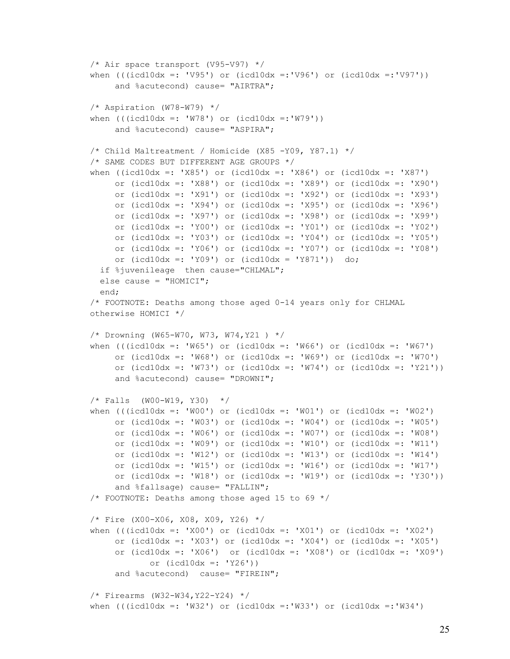```
/* Air space transport (V95-V97) */
when ((\text{icdl0dx} =: 'V95') \text{ or } (\text{icdl0dx} =: 'V96') \text{ or } (\text{icdl0dx} =: 'V97'))and %acutecond) cause= "AIRTRA";
/* Aspiration (W78-W79) */
when ((icd10dx =: 'W78') or (icd10dx =: 'W79')) and %acutecond) cause= "ASPIRA";
/* Child Maltreatment / Homicide (X85 -Y09, Y87.1) */
/* SAME CODES BUT DIFFERENT AGE GROUPS */
when ((\text{icdl0dx} =: 'X85') or (\text{icdl0dx} =: 'X86') or (\text{icdl0dx} =: 'X87')or (icd10dx =: 'X88') or (icd10dx =: 'X89') or (icd10dx =: 'X90')
     or (icd10dx =: 'X91') or (icd10dx =: 'X92') or (icd10dx =: 'X93')
     or (icd10dx =: 'X94') or (icd10dx =: 'X95') or (icd10dx =: 'X96')
     or (icd10dx =: 'X97') or (icd10dx =: 'X98') or (icd10dx =: 'X99')
      or (icd10dx =: 'Y00') or (icd10dx =: 'Y01') or (icd10dx =: 'Y02')
     or (icd10dx =: 'Y03') or (icd10dx =: 'Y04') or (icd10dx =: 'Y05')
     or (icd10dx =: 'Y06') or (icd10dx =: 'Y07') or (icd10dx =: 'Y08')
      or (icd10dx =: 'Y09') or (icd10dx = 'Y871')) do;
  if %juvenileage then cause="CHLMAL";
  else cause = "HOMICI";
   end;
/* FOOTNOTE: Deaths among those aged 0-14 years only for CHLMAL 
otherwise HOMICI */
/* Drowning (W65-W70, W73, W74,Y21 ) */
when ((icd10dx =: 'W65') or (icd10dx =: 'W66') or (icd10dx =: 'W67')or (icd10dx =: 'W68') or (icd10dx =: 'W69') or (icd10dx =: 'W70')
     or (icd10dx =: 'W73') or (icd10dx =: 'W74') or (icd10dx =: 'Y21'))
      and %acutecond) cause= "DROWNI";
/* Falls (W00-W19, Y30) */
when (((icd10dx =: 'W00') or (icd10dx =: 'W01') or (icd10dx =: 'W02')or (icd10dx =: VW03') or (icd10dx =: VW04') or (icd10dx =: VW05')
      or (icd10dx =: 'W06') or (icd10dx =: 'W07') or (icd10dx =: 'W08')
      or (icd10dx =: 'W09') or (icd10dx =: 'W10') or (icd10dx =: 'W11')
     or (icd10dx =: 'W12') or (icd10dx =: 'W13') or (icd10dx =: 'W14')
     or (icd10dx =: 'W15') or (icd10dx =: 'W16') or (icd10dx =: 'W17')
     or (icd10dx =: 'W18') or (icd10dx =: 'W19') or (icd10dx =: 'Y30'))
     and %fallsage) cause= "FALLIN";
/* FOOTNOTE: Deaths among those aged 15 to 69 */
/* Fire (X00-X06, X08, X09, Y26) */
when (((icd10dx =: 'X00') or (icd10dx =: 'X01') or (icd10dx =: 'X02') or (icd10dx =: 'X03') or (icd10dx =: 'X04') or (icd10dx =: 'X05')
      or (icd10dx =: 'X06') or (icd10dx =: 'X08') or (icd10dx =: 'X09') 
             or (icd10dx =: 'Y26'))
     and %acutecond) cause= "FIREIN";
/* Firearms (W32-W34,Y22-Y24) */
when (((icd10dx =: 'W32') or (icd10dx =: 'W33') or (icd10dx =: 'W34')
```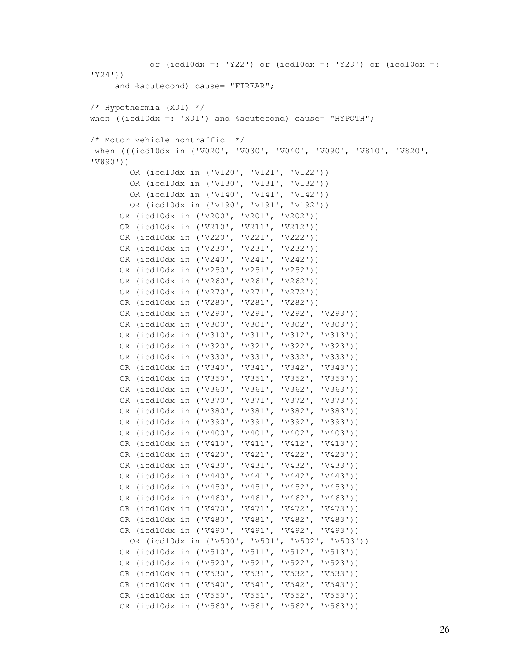```
 or (icd10dx =: 'Y22') or (icd10dx =: 'Y23') or (icd10dx =: 
'Y24'))
     and %acutecond) cause= "FIREAR";
/* Hypothermia (X31) */
when ((icd10dx =: 'X31') and \delta acutecond) cause= "HYPOTH";
/* Motor vehicle nontraffic */
when (((icd10dx in ('V020', 'V030', 'V040', 'V090', 'V810', 'V820', 
'V890')) 
         OR (icd10dx in ('V120', 'V121', 'V122')) 
         OR (icd10dx in ('V130', 'V131', 'V132')) 
         OR (icd10dx in ('V140', 'V141', 'V142'))
         OR (icd10dx in ('V190', 'V191', 'V192'))
       OR (icd10dx in ('V200', 'V201', 'V202'))
       OR (icd10dx in ('V210', 'V211', 'V212'))
       OR (icd10dx in ('V220', 'V221', 'V222'))
       OR (icd10dx in ('V230', 'V231', 'V232'))
       OR (icd10dx in ('V240', 'V241', 'V242')) 
       OR (icd10dx in ('V250', 'V251', 'V252'))
       OR (icd10dx in ('V260', 'V261', 'V262'))
       OR (icd10dx in ('V270', 'V271', 'V272'))
       OR (icd10dx in ('V280', 'V281', 'V282'))
       OR (icd10dx in ('V290', 'V291', 'V292', 'V293'))
       OR (icd10dx in ('V300', 'V301', 'V302', 'V303'))
       OR (icd10dx in ('V310', 'V311', 'V312', 'V313'))
       OR (icd10dx in ('V320', 'V321', 'V322', 'V323'))
       OR (icd10dx in ('V330', 'V331', 'V332', 'V333'))
       OR (icd10dx in ('V340', 'V341', 'V342', 'V343'))
       OR (icd10dx in ('V350', 'V351', 'V352', 'V353'))
       OR (icd10dx in ('V360', 'V361', 'V362', 'V363'))
       OR (icd10dx in ('V370', 'V371', 'V372', 'V373'))
       OR (icd10dx in ('V380', 'V381', 'V382', 'V383'))
       OR (icd10dx in ('V390', 'V391', 'V392', 'V393'))
       OR (icd10dx in ('V400', 'V401', 'V402', 'V403'))
       OR (icd10dx in ('V410', 'V411', 'V412', 'V413'))
       OR (icd10dx in ('V420', 'V421', 'V422', 'V423'))
       OR (icd10dx in ('V430', 'V431', 'V432', 'V433'))
       OR (icd10dx in ('V440', 'V441', 'V442', 'V443'))
       OR (icd10dx in ('V450', 'V451', 'V452', 'V453'))
       OR (icd10dx in ('V460', 'V461', 'V462', 'V463'))
       OR (icd10dx in ('V470', 'V471', 'V472', 'V473'))
       OR (icd10dx in ('V480', 'V481', 'V482', 'V483')) 
       OR (icd10dx in ('V490', 'V491', 'V492', 'V493'))
         OR (icd10dx in ('V500', 'V501', 'V502', 'V503'))
       OR (icd10dx in ('V510', 'V511', 'V512', 'V513'))
       OR (icd10dx in ('V520', 'V521', 'V522', 'V523'))
       OR (icd10dx in ('V530', 'V531', 'V532', 'V533'))
       OR (icd10dx in ('V540', 'V541', 'V542', 'V543'))
       OR (icd10dx in ('V550', 'V551', 'V552', 'V553'))
       OR (icd10dx in ('V560', 'V561', 'V562', 'V563'))
```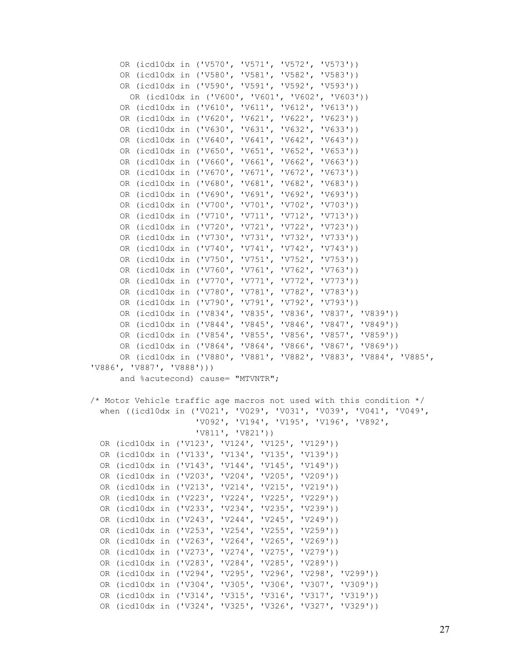OR (icd10dx in ('V570', 'V571', 'V572', 'V573')) OR (icd10dx in ('V580', 'V581', 'V582', 'V583')) OR (icd10dx in ('V590', 'V591', 'V592', 'V593')) OR (icd10dx in ('V600', 'V601', 'V602', 'V603')) OR (icd10dx in ('V610', 'V611', 'V612', 'V613')) OR (icd10dx in ('V620', 'V621', 'V622', 'V623')) OR (icd10dx in ('V630', 'V631', 'V632', 'V633')) OR (icd10dx in ('V640', 'V641', 'V642', 'V643')) OR (icd10dx in ('V650', 'V651', 'V652', 'V653')) OR (icd10dx in ('V660', 'V661', 'V662', 'V663')) OR (icd10dx in ('V670', 'V671', 'V672', 'V673')) OR (icd10dx in ('V680', 'V681', 'V682', 'V683')) OR (icd10dx in ('V690', 'V691', 'V692', 'V693')) OR (icd10dx in ('V700', 'V701', 'V702', 'V703')) OR (icd10dx in ('V710', 'V711', 'V712', 'V713')) OR (icd10dx in ('V720', 'V721', 'V722', 'V723')) OR (icd10dx in ('V730', 'V731', 'V732', 'V733')) OR (icd10dx in ('V740', 'V741', 'V742', 'V743')) OR (icd10dx in ('V750', 'V751', 'V752', 'V753')) OR (icd10dx in ('V760', 'V761', 'V762', 'V763')) OR (icd10dx in ('V770', 'V771', 'V772', 'V773')) OR (icd10dx in ('V780', 'V781', 'V782', 'V783')) OR (icd10dx in ('V790', 'V791', 'V792', 'V793')) OR (icd10dx in ('V834', 'V835', 'V836', 'V837', 'V839')) OR (icd10dx in ('V844', 'V845', 'V846', 'V847', 'V849')) OR (icd10dx in ('V854', 'V855', 'V856', 'V857', 'V859')) OR (icd10dx in ('V864', 'V864', 'V866', 'V867', 'V869')) OR (icd10dx in ('V880', 'V881', 'V882', 'V883', 'V884', 'V885', 'V886', 'V887', 'V888'))) and %acutecond) cause= "MTVNTR"; /\* Motor Vehicle traffic age macros not used with this condition \*/ when ((icd10dx in ('V021', 'V029', 'V031', 'V039', 'V041', 'V049', 'V092', 'V194', 'V195', 'V196', 'V892', 'V811', 'V821')) OR (icd10dx in ('V123', 'V124', 'V125', 'V129')) OR (icd10dx in ('V133', 'V134', 'V135', 'V139')) OR (icd10dx in ('V143', 'V144', 'V145', 'V149')) OR (icd10dx in ('V203', 'V204', 'V205', 'V209')) OR (icd10dx in ('V213', 'V214', 'V215', 'V219')) OR (icd10dx in ('V223', 'V224', 'V225', 'V229')) OR (icd10dx in ('V233', 'V234', 'V235', 'V239')) OR (icd10dx in ('V243', 'V244', 'V245', 'V249')) OR (icd10dx in ('V253', 'V254', 'V255', 'V259')) OR (icd10dx in ('V263', 'V264', 'V265', 'V269')) OR (icd10dx in ('V273', 'V274', 'V275', 'V279')) OR (icd10dx in ('V283', 'V284', 'V285', 'V289')) OR (icd10dx in ('V294', 'V295', 'V296', 'V298', 'V299')) OR (icd10dx in ('V304', 'V305', 'V306', 'V307', 'V309')) OR (icd10dx in ('V314', 'V315', 'V316', 'V317', 'V319')) OR (icd10dx in ('V324', 'V325', 'V326', 'V327', 'V329'))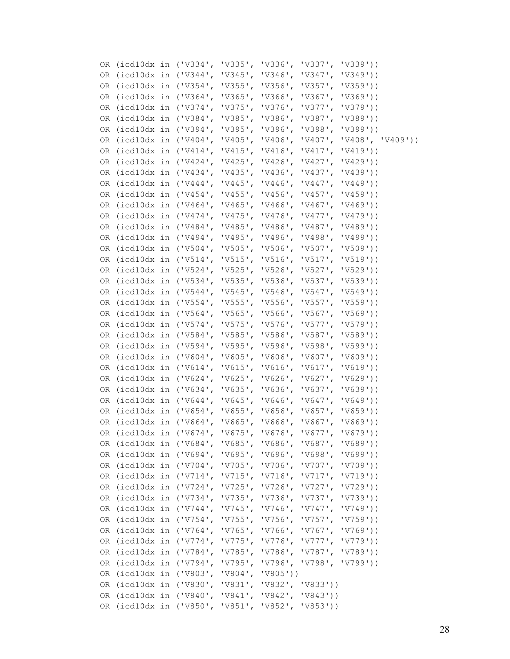|    |  | OR (icd10dx in ('V334', 'V335',                          | $'V336'$ , | $'V337'$ , | 'V339')                                                          |
|----|--|----------------------------------------------------------|------------|------------|------------------------------------------------------------------|
|    |  | OR (icd10dx in ('V344', 'V345', 'V346', 'V347', 'V349')) |            |            |                                                                  |
|    |  | OR (icd10dx in ('V354', 'V355', 'V356', 'V357', 'V359')) |            |            |                                                                  |
|    |  | OR (icd10dx in ('V364', 'V365', 'V366', 'V367', 'V369')) |            |            |                                                                  |
|    |  | OR (icd10dx in ('V374', 'V375', 'V376', 'V377', 'V379')) |            |            |                                                                  |
|    |  | OR (icd10dx in ('V384', 'V385', 'V386', 'V387', 'V389')) |            |            |                                                                  |
|    |  | OR (icd10dx in ('V394', 'V395', 'V396', 'V398', 'V399')) |            |            |                                                                  |
|    |  |                                                          |            |            | OR (icd10dx in ('V404', 'V405', 'V406', 'V407', 'V408', 'V409')) |
|    |  | OR (icd10dx in ('V414', 'V415', 'V416', 'V417', 'V419')) |            |            |                                                                  |
|    |  | OR (icd10dx in ('V424', 'V425', 'V426', 'V427', 'V429')) |            |            |                                                                  |
| OR |  | (icd10dx in ('V434', 'V435', 'V436', 'V437', 'V439'))    |            |            |                                                                  |
|    |  | OR (icd10dx in ('V444', 'V445', 'V446', 'V447',          |            |            | 'V449'))                                                         |
|    |  | OR (icd10dx in ('V454', 'V455', 'V456', 'V457', 'V459')) |            |            |                                                                  |
|    |  | OR (icd10dx in ('V464', 'V465', 'V466', 'V467', 'V469')) |            |            |                                                                  |
|    |  | OR (icd10dx in ('V474', 'V475', 'V476', 'V477', 'V479')) |            |            |                                                                  |
|    |  | OR (icd10dx in ('V484', 'V485', 'V486', 'V487', 'V489')) |            |            |                                                                  |
|    |  | OR (icd10dx in ('V494', 'V495', 'V496', 'V498', 'V499')) |            |            |                                                                  |
|    |  | OR (icd10dx in ('V504', 'V505', 'V506', 'V507', 'V509')) |            |            |                                                                  |
|    |  | OR (icd10dx in ('V514', 'V515', 'V516', 'V517', 'V519')) |            |            |                                                                  |
|    |  | OR (icd10dx in ('V524', 'V525', 'V526', 'V527', 'V529')) |            |            |                                                                  |
|    |  | OR (icd10dx in ('V534', 'V535', 'V536', 'V537', 'V539')) |            |            |                                                                  |
|    |  | OR (icd10dx in ('V544', 'V545', 'V546', 'V547', 'V549')) |            |            |                                                                  |
| OR |  | $(icd10dx in ('V554', 'V555', 'V556', 'V557', 'V559'))$  |            |            |                                                                  |
|    |  | OR (icd10dx in ('V564', 'V565', 'V566',                  |            | $'V567'$ , | 'V569'))                                                         |
|    |  | OR (icd10dx in ('V574', 'V575', 'V576', 'V577', 'V579')) |            |            |                                                                  |
|    |  | OR (icd10dx in ('V584', 'V585', 'V586', 'V587', 'V589')) |            |            |                                                                  |
| OR |  | (icd10dx in ('V594', 'V595', 'V596', 'V598', 'V599'))    |            |            |                                                                  |
|    |  | OR (icd10dx in ('V604', 'V605', 'V606', 'V607', 'V609')) |            |            |                                                                  |
|    |  | OR (icd10dx in ('V614', 'V615', 'V616', 'V617', 'V619')) |            |            |                                                                  |
|    |  | OR (icd10dx in ('V624', 'V625', 'V626', 'V627', 'V629')) |            |            |                                                                  |
|    |  | OR (icd10dx in ('V634', 'V635', 'V636', 'V637', 'V639')) |            |            |                                                                  |
|    |  | OR (icd10dx in ('V644', 'V645', 'V646', 'V647', 'V649')) |            |            |                                                                  |
|    |  | OR (icd10dx in ('V654', 'V655', 'V656', 'V657', 'V659')) |            |            |                                                                  |
|    |  | OR (icd10dx in ('V664', 'V665', 'V666', 'V667', 'V669')) |            |            |                                                                  |
|    |  | OR (icd10dx in ('V674', 'V675', 'V676', 'V677', 'V679')) |            |            |                                                                  |
|    |  | OR (icd10dx in ('V684', 'V685', 'V686', 'V687', 'V689')) |            |            |                                                                  |
|    |  | OR (icd10dx in ('V694', 'V695', 'V696', 'V698', 'V699')) |            |            |                                                                  |
|    |  | OR (icd10dx in ('V704', 'V705', 'V706', 'V707', 'V709')) |            |            |                                                                  |
|    |  | OR (icd10dx in ('V714', 'V715', 'V716', 'V717', 'V719')) |            |            |                                                                  |
|    |  | OR (icd10dx in ('V724', 'V725',                          |            |            | $'V726'$ , $V727'$ , $V729')$                                    |
|    |  | OR (icd10dx in ('V734', 'V735',                          | $'V736'$ , | $'V737'$ , | 'V739'))                                                         |
|    |  | OR (icd10dx in ('V744', 'V745',                          | $'V746'$ , |            | 'V747', 'V749')                                                  |
|    |  | OR (icd10dx in ('V754', 'V755', 'V756', 'V757', 'V759')) |            |            |                                                                  |
|    |  | OR (icd10dx in ('V764', 'V765', 'V766', 'V767', 'V769')) |            |            |                                                                  |
|    |  | OR (icd10dx in ('V774', 'V775', 'V776', 'V777', 'V779')) |            |            |                                                                  |
|    |  | OR (icd10dx in ('V784', 'V785',                          |            |            | 'V786', 'V787', 'V789'))                                         |
|    |  | OR (icd10dx in ('V794', 'V795',                          |            |            | 'V796', 'V798', 'V799'))                                         |
|    |  | OR (icd10dx in ('V803', 'V804', 'V805'))                 |            |            |                                                                  |
|    |  | OR (icd10dx in ('V830', 'V831', 'V832', 'V833'))         |            |            |                                                                  |
|    |  | OR (icd10dx in ('V840', 'V841', 'V842', 'V843'))         |            |            |                                                                  |
|    |  | OR (icd10dx in ('V850', 'V851', 'V852', 'V853'))         |            |            |                                                                  |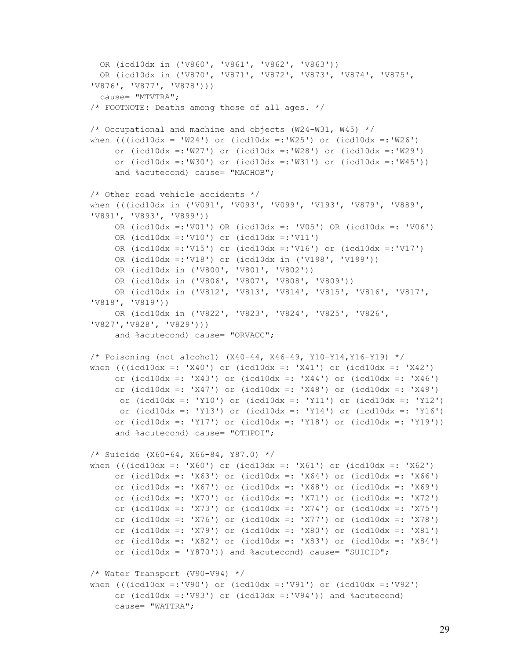```
 OR (icd10dx in ('V860', 'V861', 'V862', 'V863'))
   OR (icd10dx in ('V870', 'V871', 'V872', 'V873', 'V874', 'V875', 
'V876', 'V877', 'V878'))) 
   cause= "MTVTRA";
/* FOOTNOTE: Deaths among those of all ages. */
/* Occupational and machine and objects (W24-W31, W45) */
when (((icd10dx = 'W24') or (icd10dx = :'W25') or (icd10dx = :'W26') or (icd10dx =:'W27') or (icd10dx =:'W28') or (icd10dx =:'W29')
     or (icd10dx = :'W30') or (icd10dx = :'W31') or (icd10dx = :'W45')and %acutecond) cause= "MACHOB";
/* Other road vehicle accidents */
when (((icd10dx in ('V091', 'V093', 'V099', 'V193', 'V879', 'V889', 
'V891', 'V893', 'V899'))
      OR (icd10dx =:'V01') OR (icd10dx =: 'V05') OR (icd10dx =: 'V06')
      OR (icd10dx =:'V10') or (icd10dx =:'V11') 
      OR (icd10dx =:'V15') or (icd10dx =:'V16') or (icd10dx =:'V17')
      OR (icd10dx =:'V18') or (icd10dx in ('V198', 'V199'))
      OR (icd10dx in ('V800', 'V801', 'V802')) 
      OR (icd10dx in ('V806', 'V807', 'V808', 'V809')) 
      OR (icd10dx in ('V812', 'V813', 'V814', 'V815', 'V816', 'V817', 
'V818', 'V819')) 
      OR (icd10dx in ('V822', 'V823', 'V824', 'V825', 'V826', 
'V827','V828', 'V829')))
      and %acutecond) cause= "ORVACC";
/* Poisoning (not alcohol) (X40-44, X46-49, Y10-Y14,Y16-Y19) */
when (((icd10dx =: 'X40') or (icd10dx =: 'X41') or (icd10dx =: 'X42') or (icd10dx =: 'X43') or (icd10dx =: 'X44') or (icd10dx =: 'X46')
     or (icd10dx =: 'X47') or (icd10dx =: 'X48') or (icd10dx =: 'X49')
     or (icd10dx =: 'Y10') or (icd10dx =: 'Y11') or (icd10dx =: 'Y12')
     or (icd10dx =: 'Y13') or (icd10dx =: 'Y14') or (icd10dx =: 'Y16')
     or (icd10dx =: 'Y17') or (icd10dx =: 'Y18') or (icd10dx =: 'Y19'))
      and %acutecond) cause= "OTHPOI";
/* Suicide (X60-64, X66-84, Y87.0) */
when (((icd10dx =: 'X60') or (icd10dx =: 'X61') or (icd10dx =: 'X62') 
      or (icd10dx =: 'X63') or (icd10dx =: 'X64') or (icd10dx =: 'X66')
     or (icd10dx =: 'X67') or (icd10dx =: 'X68') or (icd10dx =: 'X69')
     or (icd10dx =: YX70') or (icd10dx =: YX71') or (icd10dx =: YX72')or (icd10dx =: 'X73') or (icd10dx =: 'X74') or (icd10dx =: 'X75')
      or (icd10dx =: 'X76') or (icd10dx =: 'X77') or (icd10dx =: 'X78')
     or (icd10dx =: 'X79') or (icd10dx =: 'X80') or (icd10dx =: 'X81')
      or (icd10dx =: 'X82') or (icd10dx =: 'X83') or (icd10dx =: 'X84')
     or (icd10dx = 'Y870')) and \text{scult } cause= "SUICID";
/* Water Transport (V90-V94) */
when (((icd10dx =: 'V90') or (icd10dx =: 'V91') or (icd10dx =: 'V92') or (icd10dx =:'V93') or (icd10dx =:'V94')) and %acutecond)
      cause= "WATTRA";
```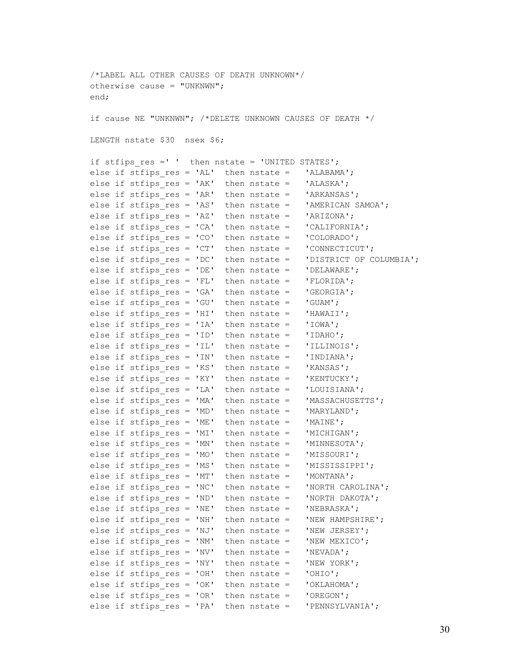/\*LABEL ALL OTHER CAUSES OF DEATH UNKNOWN\*/ otherwise cause =  $"$ UNKNWN"; end; if cause NE "UNKNWN"; /\*DELETE UNKNOWN CAUSES OF DEATH \*/ LENGTH nstate \$30 nsex \$6; if stfips res =' ' then nstate = 'UNITED STATES'; else if stfips res = 'AL' then nstate = 'ALABAMA'; else if stfips res = 'AK' then nstate = 'ALASKA'; else if stfips res = 'AR' then nstate = 'ARKANSAS'; else if stfips res = 'AS' then nstate = 'AMERICAN SAMOA'; else if stfips  $res = 'AZ'$  then nstate = 'ARIZONA'; else if stfips res = 'CA' then nstate = 'CALIFORNIA'; else if stfips\_res = 'CO' then nstate = 'COLORADO'; else if stfips  $res = 'CT'$  then nstate =  $'CONNECTICUT';$ else if stfips\_res = 'DC' then nstate = 'DISTRICT OF COLUMBIA'; else if stfips  $res = 'DE'$  then nstate =  $'DELAWARE'$ ; else if stfips  $res = 'FL'$  then nstate =  $'FLORIDA';$ else if stfips  $res = 'GA'$  then nstate =  $'GEORGIA'$ ; else if stfips  $res = 'GU'$  then nstate =  $'GUAM';$ else if stfips res = 'HI' then nstate = 'HAWAII'; else if stfips  $res = 'IA'$  then nstate =  $'IOWA';$ else if stfips  $res = 'ID'$  then nstate =  $'IDAHO';$ else if stfips res = 'IL' then nstate = 'ILLINOIS'; else if stfips  $res = 'IN'$  then nstate =  $'INDIANA';$ else if stfips res = 'KS' then nstate = 'KANSAS'; else if stfips  $res = 'KY'$  then nstate =  $'$ KENTUCKY'; else if stfips res = 'LA' then nstate = 'LOUISIANA'; else if stfips\_res = 'MA' then nstate = 'MASSACHUSETTS'; else if stfips  $res = 'MD'$  then nstate =  $'MARYLAND';$ else if stfips res = 'ME' then nstate = 'MAINE'; else if stfips\_res = 'MI' then nstate =  $'$ MICHIGAN'; else if stfips  $res = 'MN'$  then nstate =  $'MINNESOTA';$ else if stfips  $res = 'MO'$  then nstate =  $'$ MISSOURI'; else if stfips res = 'MS' then nstate = 'MISSISSIPPI'; else if stfips  $res = 'MT'$  then nstate =  $'MONTANA';$ else if stfips res = 'NC' then nstate = 'NORTH CAROLINA'; else if stfips  $res = 'ND'$  then nstate =  $'NORTH DAKOTA';$ else if stfips res = 'NE' then nstate = 'NEBRASKA'; else if stfips  $res = 'NH'$  then nstate =  $'NEN HAMPSHIRE'$ ; else if stfips res = 'NJ' then nstate = 'NEW JERSEY'; else if stfips  $res = 'NM'$  then nstate =  $'NEW MEXICO';$ else if stfips  $res = 'NV'$  then nstate =  $'NEVADA';$ else if stfips  $res = 'NY'$  then nstate =  $'NEW YORK';$ else if stfips  $res = 'OH'$  then nstate =  $'OHIO';$ 'OKLAHOMA'; else if stfips  $res = 'OK'$  then nstate = else if stfips  $res = 'OR'$  then nstate =  $'OREGON'$ ; else if stfips\_res = 'PA' then nstate = 'PENNSYLVANIA';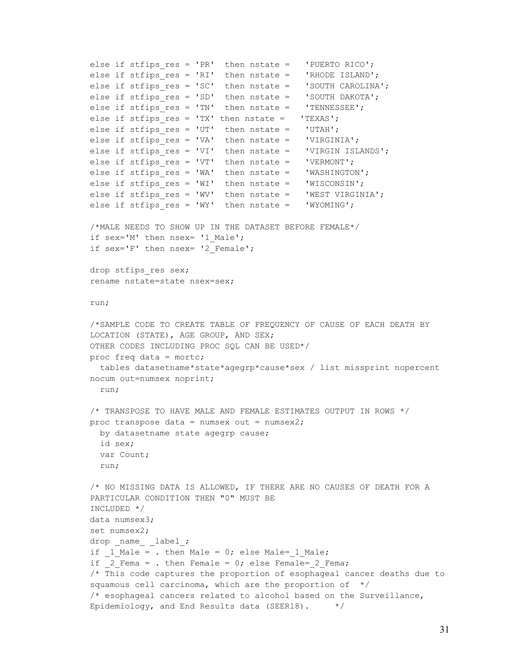```
else if stfips_res = 'PR' then nstate = 'PUERTO RICO';
else if stfips_{res} = 'RI' then nstate = 'RHODE ISLAND';
else if stfips res = 'SC' then nstate = 'SOUTH CAROLINA';
else if stfips_res = 'SD' then nstate = 'SOUTH DAKOTA';
else if stfips res = 'TN' then nstate =  'TENNESSEE';else if stfips_{res} = 'TX' then nstate = 'TEXAS';else if stfips res = 'UT' then nstate = 'UTAH';
else if stfips res = 'VA' then nstate = 'VIRGINIA';
else if stfips res = 'VI' then nstate =  'VIRGIN ISLANDS';else if stfips res = 'VT' then nstate =  'VERMONT';else if stfips res = 'WA' then nstate = 'WASHINGTON';
else if stfips res = 'WI' then nstate =  'WISCONSIM';else if stfips res = 'WV' then nstate = 'WEST VIRGINIA';
else if stfips res = 'WY' then nstate = 'WYOMING';
/*MALE NEEDS TO SHOW UP IN THE DATASET BEFORE FEMALE*/
if sex='M' then nsex= '1 Male';
if sex='F' then nsex= '2 Female';
drop stfips res sex;
rename nstate=state nsex=sex;
run;
/*SAMPLE CODE TO CREATE TABLE OF FREQUENCY OF CAUSE OF EACH DEATH BY
LOCATION (STATE), AGE GROUP, AND SEX;
OTHER CODES INCLUDING PROC SQL CAN BE USED*/
proc freq data = mortc;
 tables datasetname*state*agegrp*cause*sex / list missprint nopercent
nocum out=numsex noprint;
 run;
/* TRANSPOSE TO HAVE MALE AND FEMALE ESTIMATES OUTPUT IN ROWS */
proc transpose data = numsex out = numsex2;
 by datasetname state agegrp cause;
 id sex;
 var Count;
 run;
/* NO MISSING DATA IS ALLOWED, IF THERE ARE NO CAUSES OF DEATH FOR A
PARTICULAR CONDITION THEN "0" MUST BE
INCLUDED */
data numsex3;
set numsex2;
drop name label;
if 1 Male = . then Male = 0; else Male= 1 Male;
if 2 Fema = . then Female = 0; else Female= 2 Fema;
/* This code captures the proportion of esophageal cancer deaths due to
squamous cell carcinoma, which are the proportion of */
/* esophageal cancers related to alcohol based on the Surveillance,
Epidemiology, and End Results data (SEER18).
                                               \star/
```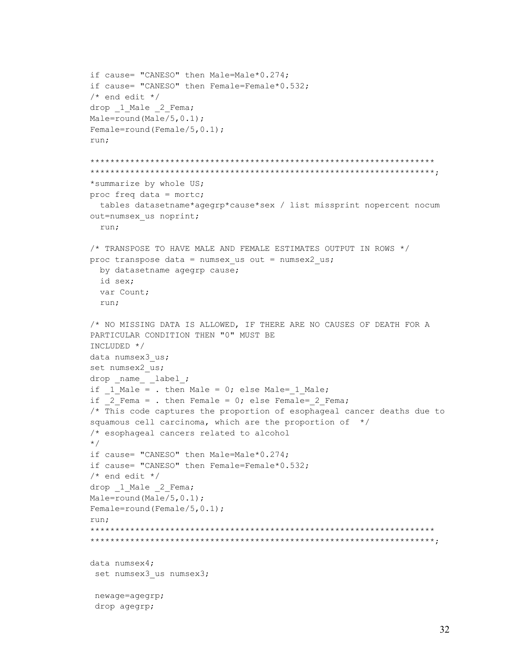```
if cause= "CANESO" then Male=Male*0.274;
if cause= "CANESO" then Female=Female*0.532;
/* end edit */drop 1 Male 2 Fema;
Male=round(Male/5, 0.1);
Female=round(Female/5, 0.1);
run;
*summarize by whole US;
proc freq data = mortc;
 tables datasetname*agegrp*cause*sex / list missprint nopercent nocum
out=numsex us noprint;
 run;
/* TRANSPOSE TO HAVE MALE AND FEMALE ESTIMATES OUTPUT IN ROWS */proc transpose data = numsex us out = numsex2 us;
 by datasetname agegrp cause;
 id sex:
 var Count;
 run;
/* NO MISSING DATA IS ALLOWED, IF THERE ARE NO CAUSES OF DEATH FOR A
PARTICULAR CONDITION THEN "0" MUST BE
INCLUDED */
data numsex3 us;
set numsex2 us;
drop name label;
if 1 Male = . then Male = 0; else Male= 1 Male;
if 2 Fema = . then Female = 0; else Female= 2 Fema;
/* This code captures the proportion of esophageal cancer deaths due to
squamous cell carcinoma, which are the proportion of */
/* esophageal cancers related to alcohol
\star/if cause= "CANESO" then Male=Male*0.274;
if cause= "CANESO" then Female=Female*0.532;
/* end edit */drop 1 Male 2 Fema;
Male=round(Male/5, 0.1);
Female=round(Female/5, 0.1);
run:
data numsex4;
set numsex3 us numsex3;
newage=agegrp;
drop agegrp;
```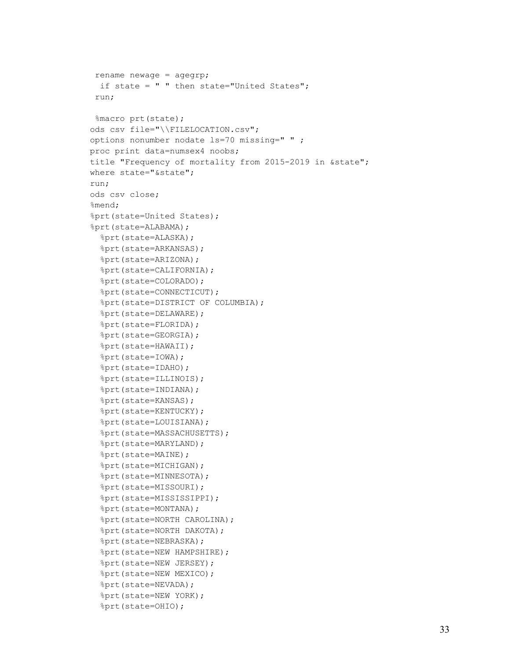```
rename newage = agegrp;
  if state = " " then state="United States";
 run;
 %macro prt(state);
ods csv file="\\FILELOCATION.csv";
options nonumber nodate ls=70 missing=" " ;
proc print data=numsex4 noobs;
title "Frequency of mortality from 2015-2019 in &state";
where state="&state";
run;
ods csv close;
%mend;
%prt(state=United States);
%prt(state=ALABAMA);
   %prt(state=ALASKA);
   %prt(state=ARKANSAS);
   %prt(state=ARIZONA);
   %prt(state=CALIFORNIA);
   %prt(state=COLORADO);
   %prt(state=CONNECTICUT);
   %prt(state=DISTRICT OF COLUMBIA);
   %prt(state=DELAWARE);
   %prt(state=FLORIDA);
   %prt(state=GEORGIA);
   %prt(state=HAWAII);
   %prt(state=IOWA);
   %prt(state=IDAHO);
   %prt(state=ILLINOIS);
   %prt(state=INDIANA);
   %prt(state=KANSAS); 
   %prt(state=KENTUCKY);
   %prt(state=LOUISIANA);
   %prt(state=MASSACHUSETTS);
   %prt(state=MARYLAND);
   %prt(state=MAINE);
   %prt(state=MICHIGAN);
   %prt(state=MINNESOTA);
   %prt(state=MISSOURI);
   %prt(state=MISSISSIPPI);
   %prt(state=MONTANA);
   %prt(state=NORTH CAROLINA);
   %prt(state=NORTH DAKOTA);
   %prt(state=NEBRASKA);
   %prt(state=NEW HAMPSHIRE);
   %prt(state=NEW JERSEY);
   %prt(state=NEW MEXICO);
   %prt(state=NEVADA);
   %prt(state=NEW YORK);
   %prt(state=OHIO);
```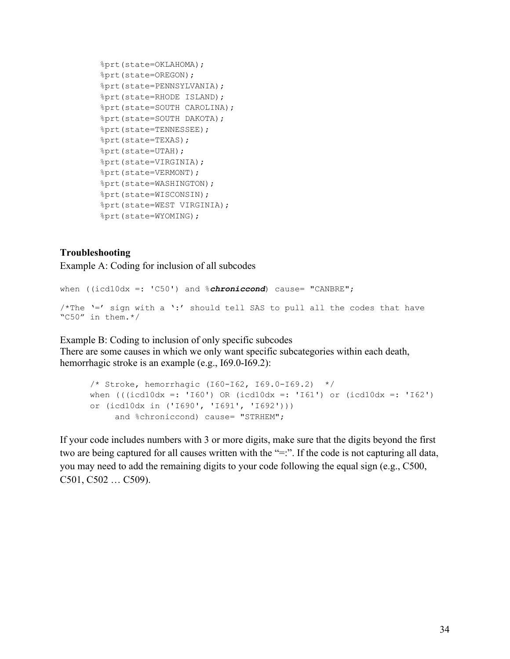```
 %prt(state=OKLAHOMA);
 %prt(state=OREGON);
 %prt(state=PENNSYLVANIA);
 %prt(state=RHODE ISLAND);
 %prt(state=SOUTH CAROLINA);
 %prt(state=SOUTH DAKOTA);
 %prt(state=TENNESSEE);
 %prt(state=TEXAS);
 %prt(state=UTAH);
 %prt(state=VIRGINIA);
 %prt(state=VERMONT);
 %prt(state=WASHINGTON);
 %prt(state=WISCONSIN);
 %prt(state=WEST VIRGINIA);
 %prt(state=WYOMING);
```
#### **Troubleshooting**

Example A: Coding for inclusion of all subcodes

```
when ((icd10dx =: 'C50') and %chroniccond) cause= "CANBRE";
/*The '=' sign with a '':' should tell SAS to pull all the codes that have"C50" in them.*/
```
Example B: Coding to inclusion of only specific subcodes There are some causes in which we only want specific subcategories within each death, hemorrhagic stroke is an example (e.g., I69.0-I69.2):

```
/* Stroke, hemorrhagic (I60-I62, I69.0-I69.2) */
when ((i c d 10 dx =: 'I60') OR (ic d 10 dx =: 'I61') or (ic d 10 dx =: 'I62')or (icd10dx in ('I690', 'I691', 'I692')))
     and %chroniccond) cause= "STRHEM";
```
<span id="page-33-0"></span>If your code includes numbers with 3 or more digits, make sure that the digits beyond the first two are being captured for all causes written with the "=:". If the code is not capturing all data, you may need to add the remaining digits to your code following the equal sign (e.g., C500, C501, C502 … C509).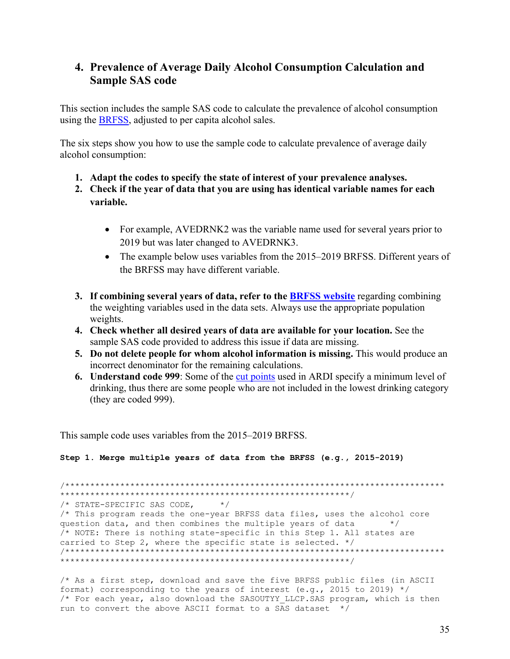### 4. Prevalence of Average Daily Alcohol Consumption Calculation and **Sample SAS code**

This section includes the sample SAS code to calculate the prevalence of alcohol consumption using the BRFSS, adjusted to per capita alcohol sales.

The six steps show you how to use the sample code to calculate prevalence of average daily alcohol consumption:

- 1. Adapt the codes to specify the state of interest of your prevalence analyses.
- 2. Check if the year of data that you are using has identical variable names for each variable.
	- For example, AVEDRNK2 was the variable name used for several years prior to 2019 but was later changed to AVEDRNK3.
	- The example below uses variables from the 2015–2019 BRFSS. Different years of the BRFSS may have different variable.
- 3. If combining several years of data, refer to the BRFSS website regarding combining the weighting variables used in the data sets. Always use the appropriate population weights.
- 4. Check whether all desired years of data are available for your location. See the sample SAS code provided to address this issue if data are missing.
- 5. Do not delete people for whom alcohol information is missing. This would produce an incorrect denominator for the remaining calculations.
- 6. Understand code 999: Some of the cut points used in ARDI specify a minimum level of drinking, thus there are some people who are not included in the lowest drinking category (they are coded 999).

This sample code uses variables from the 2015–2019 BRFSS.

Step 1. Merge multiple years of data from the BRFSS (e.g., 2015-2019)

/\* STATE-SPECIFIC SAS CODE,  $\star/$ /\* This program reads the one-year BRFSS data files, uses the alcohol core question data, and then combines the multiple years of data  $\star/$ /\* NOTE: There is nothing state-specific in this Step 1. All states are carried to Step 2, where the specific state is selected. \*/ \*\*\*\*\*\*\*\*\*\*\*\*\*\*\*\*\*\*\* 

/\* As a first step, download and save the five BRFSS public files (in ASCII format) corresponding to the years of interest (e.g., 2015 to 2019)  $*/$ /\* For each year, also download the SASOUTYY LLCP. SAS program, which is then run to convert the above ASCII format to a SAS dataset \*/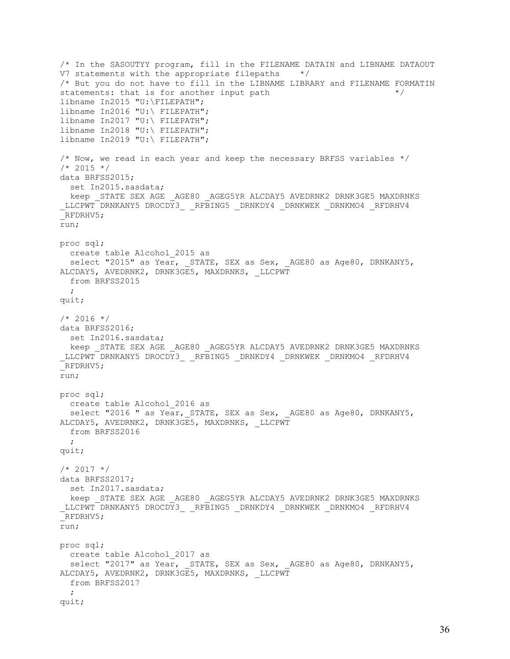```
/* In the SASOUTYY program, fill in the FILENAME DATAIN and LIBNAME DATAOUT 
V7 statements with the appropriate filepaths */
/* But you do not have to fill in the LIBNAME LIBRARY and FILENAME FORMATIN statements: that is for another input path
statements: that is for another input path
libname In2015 "U:\FILEPATH";
libname In2016 "U:\ FILEPATH";
libname In2017 "U:\ FILEPATH";
libname In2018 "U:\ FILEPATH";
libname In2019 "U:\ FILEPATH";
/* Now, we read in each year and keep the necessary BRFSS variables *//* 2015 * /data BRFSS2015; 
 set In2015.sasdata;
 keep STATE SEX AGE AGE80 AGEG5YR ALCDAY5 AVEDRNK2 DRNK3GE5 MAXDRNKS
_LLCPWT DRNKANY5 DROCDY3_ _RFBING5 _DRNKDY4 _DRNKWEK _DRNKMO4 _RFDRHV4 
_RFDRHV5;
run;
proc sql;
  create table Alcohol_2015 as 
 select "2015" as Year, STATE, SEX as Sex, AGE80 as Age80, DRNKANY5,
ALCDAY5, AVEDRNK2, DRNK3GE5, MAXDRNKS, LLCPWT
  from BRFSS2015
\mathcal{L}quit;
/* 2016 * /data BRFSS2016; 
  set In2016.sasdata; 
 keep STATE SEX AGE AGE80 AGEG5YR ALCDAY5 AVEDRNK2 DRNK3GE5 MAXDRNKS
_LLCPWT DRNKANY5 DROCDY3_ RFBING5 DRNKDY4 DRNKWEK DRNKMO4 RFDRHV4
_RFDRHV5;
run;
proc sql;
  create table Alcohol_2016 as 
  select "2016 " as Year, STATE, SEX as Sex, AGE80 as Age80, DRNKANY5,
ALCDAY5, AVEDRNK2, DRNK3GE5, MAXDRNKS, _LLCPWT
  from BRFSS2016
  ; 
quit;
/* 2017 * /data BRFSS2017;
 set In2017.sasdata;
 keep STATE SEX AGE AGE80 AGEG5YR ALCDAY5 AVEDRNK2 DRNK3GE5 MAXDRNKS
_LLCPWT DRNKANY5 DROCDY3_ _RFBING5 _DRNKDY4 _DRNKWEK _DRNKMO4 _RFDRHV4 
_RFDRHV5;
run;
proc sql;
  create table Alcohol_2017 as 
 select "2017" as Year, STATE, SEX as Sex, AGE80 as Age80, DRNKANY5,
ALCDAY5, AVEDRNK2, DRNK3GE5, MAXDRNKS, _LLCPWT
  from BRFSS2017
\mathcal{L}quit;
```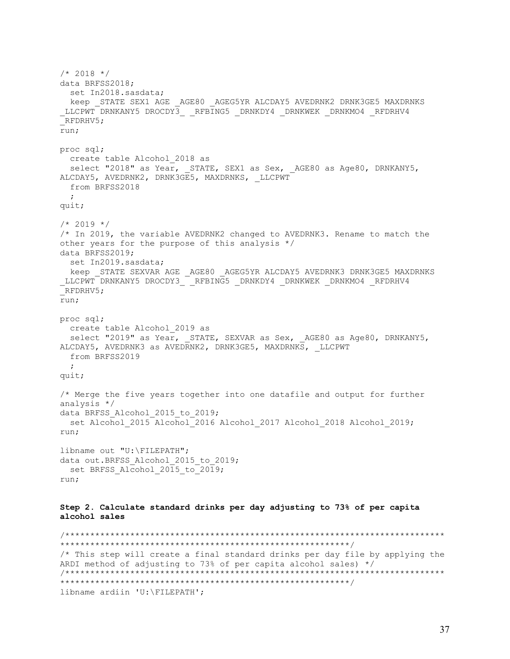$/* 2018 * /$ data BRFSS2018; set In2018.sasdata; keep STATE SEX1 AGE \_AGE80 \_AGEG5YR ALCDAY5 AVEDRNK2 DRNK3GE5 MAXDRNKS \_LLCPWT DRNKANY5 DROCDY3\_ \_RFBING5 \_DRNKDY4 \_DRNKWEK \_DRNKMO4 \_RFDRHV4 \_RFDRHV5; run; proc sql; create table Alcohol\_2018 as select "2018" as Year, STATE, SEX1 as Sex, AGE80 as Age80, DRNKANY5, ALCDAY5, AVEDRNK2, DRNK3GE5, MAXDRNKS, \_LLCPWT from BRFSS2018  $\mathcal{L}$ quit;  $/* 2019 * /$ /\* In 2019, the variable AVEDRNK2 changed to AVEDRNK3. Rename to match the other years for the purpose of this analysis \*/ data BRFSS2019; set In2019.sasdata; keep \_STATE SEXVAR AGE \_AGE80 \_AGEG5YR ALCDAY5 AVEDRNK3 DRNK3GE5 MAXDRNKS \_LLCPWT DRNKANY5 DROCDY3\_ \_RFBING5 \_DRNKDY4 \_DRNKWEK \_DRNKMO4 \_RFDRHV4 \_RFDRHV5; run; proc sql; create table Alcohol\_2019 as select "2019" as Year, STATE, SEXVAR as Sex, AGE80 as Age80, DRNKANY5, ALCDAY5, AVEDRNK3 as AVEDRNK2, DRNK3GE5, MAXDRNKS, \_LLCPWT from BRFSS2019 ; quit; /\* Merge the five years together into one datafile and output for further analysis \*/ data BRFSS Alcohol 2015 to 2019; set Alcohol\_2015 Alcohol\_2016 Alcohol\_2017 Alcohol\_2018 Alcohol\_2019; run; libname out "U:\FILEPATH"; data out.BRFSS\_Alcohol\_2015\_to\_2019; set BRFSS Alcohol 2015 to 2019; run; **Step 2. Calculate standard drinks per day adjusting to 73% of per capita alcohol sales** /\*\*\*\*\*\*\*\*\*\*\*\*\*\*\*\*\*\*\*\*\*\*\*\*\*\*\*\*\*\*\*\*\*\*\*\*\*\*\*\*\*\*\*\*\*\*\*\*\*\*\*\*\*\*\*\*\*\*\*\*\*\*\*\*\*\*\*\*\*\*\*\*\*\*\*\* \*\*\*\*\*\*\*\*\*\*\*\*\*\*\*\*\*\*\*\*\*\*\*\*\*\*\*\*\*\*\*\*\*\*\*\*\*\*\*\*\*\*\*\*\*\*\*\*\*\*\*\*\*\*\*\*\*\*/ /\* This step will create a final standard drinks per day file by applying the ARDI method of adjusting to 73% of per capita alcohol sales) \*/ /\*\*\*\*\*\*\*\*\*\*\*\*\*\*\*\*\*\*\*\*\*\*\*\*\*\*\*\*\*\*\*\*\*\*\*\*\*\*\*\*\*\*\*\*\*\*\*\*\*\*\*\*\*\*\*\*\*\*\*\*\*\*\*\*\*\*\*\*\*\*\*\*\*\*\*\* \*\*\*\*\*\*\*\*\*\*\*\*\*\*\*\*\*\*\*\*\*\*\*\*\*\*\*\*\*\*\*\*\*\*\*\*\*\*\*\*\*\*\*\*\*\*\*\*\*\*\*\*\*\*\*\*\*\*/ libname ardiin 'U:\FILEPATH';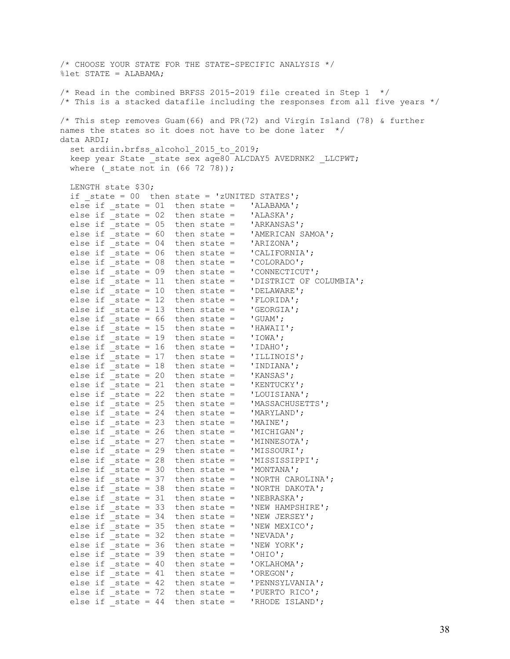/\* CHOOSE YOUR STATE FOR THE STATE-SPECIFIC ANALYSIS \*/ %let STATE = ALABAMA;  $/*$  Read in the combined BRFSS 2015-2019 file created in Step 1  $*/$ /\* This is a stacked datafile including the responses from all five years \*/ /\* This step removes Guam(66) and PR(72) and Virgin Island (78) & further names the states so it does not have to be done later \*/ data ARDI; set ardiin.brfss alcohol 2015 to 2019; keep year State state sex age80 ALCDAY5 AVEDRNK2 LLCPWT; where ( state not in  $(66 72 78)$ ); LENGTH state \$30; if state =  $00$  then state = 'zUNITED STATES'; else if \_state =  $01$  then state = 'ALABAMA';<br>else if state =  $02$  then state = 'ALASKA'; else if \_state = 02 then state = 'ALASKA'; else if \_state = 05 then state = 'ARKANSAS'; else if  $state = 60$  then state = 'AMERICAN SAMOA'; else if  $state = 04$  then state = 'ARIZONA'; else if  $state = 06$  then state = 'CALIFORNIA'; else if  $\bar{ }$  state = 08 then state = 'COLORADO'; else if \_state = 09 then state = 'CONNECTICUT'; else if \_state = 11 then state = 'DISTRICT OF COLUMBIA'; else if \_state = 10 then state = 'DELAWARE'; else if  $state = 12$  then state = 'FLORIDA'; else if  $state = 13$  then state =  $'GEORGIA'$ ; else if state =  $66$  then state = 'GUAM'; else if  $state = 15$  then state = 'HAWAII'; else if \_state = 19 then state = 'IOWA'; else if \_state = 16 then state = 'IDAHO'; else if  $\overline{\phantom{a}}$  state = 17 then state = 'ILLINOIS';<br>else if state = 18 then state = 'INDIANA'; else if  $\overline{\phantom{a}}$  state = 18 then state = else if  $state = 20$  then state = 'KANSAS'; else if  $\overline{\phantom{a}}$  state = 21 then state = 'KENTUCKY'; else if  $\bar{S}$  state = 22 then state = 'LOUISIANA'; else if  $\overline{\phantom{a}}$  state = 25 then state = 'MASSACHUSETTS';<br>else if state = 24 then state = 'MARYLAND'; else if  $_{{}_{\text{state}}}$  = 24 then state = 'MARYLAN
else if state = 23 then state = 'MAINE'; else if  $state = 23$  then state = else if  $state = 26$  then state = 'MICHIGAN'; else if  $state = 27$  then state = 'MINNESOTA'; else if  $state = 29$  then state = 'MISSOURI'; else if  $\overline{\phantom{a}}$  state = 28 then state = 'MISSISSIPPI'; else if  $\overline{\phantom{a}}$ state = 30 then state = 'MONTANA'; else if  $\overline{\phantom{a}}$  state = 37 then state = 'NORTH CAROLINA'; else if  $\bar{ }$  state = 38 then state = 'NORTH DAKOTA'; else if  $state = 31$  then state = 'NEBRASKA'; else if  $state = 33$  then state = 'NEW HAMPSHIRE'; else if  $\overline{\phantom{a}}$  state = 34 then state = 'NEW JERSEY'; else if  $\overline{\phantom{a}}$  state = 35 then state = 'NEW MEXICO';<br>else if state = 32 then state = 'NEVADA'; else if \_state = 32 then state = 'NEVADA'; else if \_state = 36 then state = 'NEW YORK'; else if  $state = 39$  then state = 'OHIO'; else if  $state = 40$  then state = 'OKLAHOMA'; else if  $state = 41$  then state = 'OREGON'; else if  $\overline{\phantom{a}}$  state = 42 then state = 'PENNSYLVANIA'; else if \_state = 72 then state = 'PUERTO RICO'; else if \_state = 44 then state = 'RHODE ISLAND';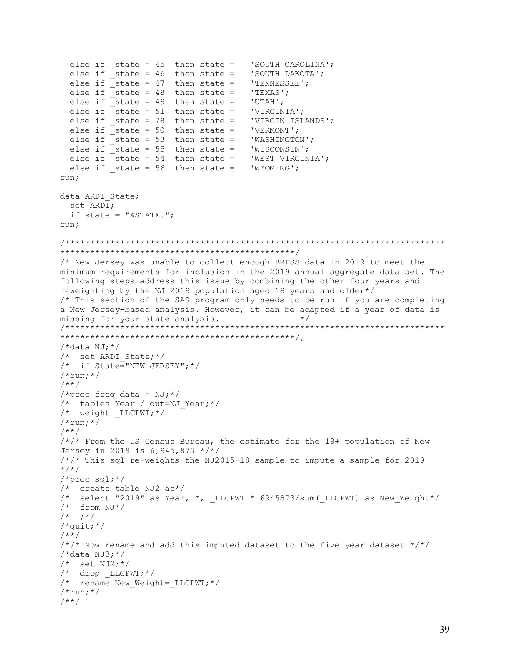```
else if state = 45 then state = 'SOUTH CAROLINA';
 else if \overline{\phantom{a}} state = 46 then state = 'SOUTH DAKOTA';
 else if
         -<br>state = 47 then state = 'TENNESSEE';
 else if _3 state = 48 then state =
                                  'TEXAS';
 else if state = 49 then state =
                                  'UTAH';
 else if state = 51 then state = 'VIRGINIA';
 else if state = 78 then state = 'VIRGIN ISLANDS';
 else if \overline{\phantom{a}} state = 50 then state = 'VERMONT';
 else if \overline{\phantom{a}} state = 53 then state = 'WASHINGTON';
 else if _3 state = 55 then state =
                                 'WISCONSIN';
 else if _state = 54 then state =
                                  'WEST VIRGINIA';
 else if state = 56 then state = 'WYOMING';
run;
data ARDI State;
 set ARDI;
 if state = "\&\text{STATE."}run:
/* New Jersey was unable to collect enough BRFSS data in 2019 to meet the
minimum requirements for inclusion in the 2019 annual aggregate data set. The
following steps address this issue by combining the other four years and
reweighting by the NJ 2019 population aged 18 years and older*/
/* This section of the SAS program only needs to be run if you are completing
a New Jersey-based analysis. However, it can be adapted if a year of data is
missing for your state analysis.
                                            \star /
/*data NJ; *//* set ARDI State;*/
/* if State="NEW JERSEY"; */
/*run; *//**/
/*proc freq data = NJ;*//* tables Year / out=NJ Year;*/
\frac{1}{x} weight _LLCPWT; */
/*run; */1**1/*/* From the US Census Bureau, the estimate for the 18+ population of New
Jersey in 2019 is 6,945,873 */*/
/*/* This sql re-weights the NJ2015-18 sample to impute a sample for 2019
\star / \star /
/*proc sql;*/
/* create table NJ2 as*/
/* select "2019" as Year, *, LLCPWT * 6945873/sum ( LLCPWT) as New Weight*/
/* from NJ*/
/* ; * /
/*quit; */
1**1\frac{x}{x} Now rename and add this imputed dataset to the five year dataset */*/
/*data NJ3; *//* set NJ2; */
/* drop LLCPWT; */
/* rename New Weight= LLCPWT;*/
/*run: */1**1
```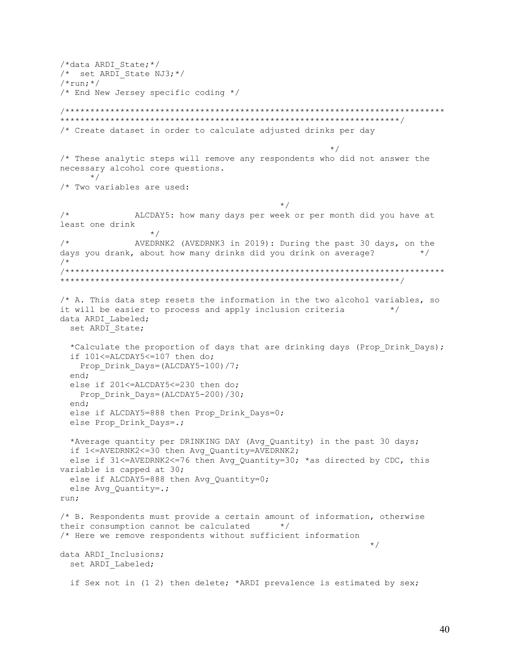/\*data ARDI State;\*/  $/*$  set ARDI State NJ3; \*/  $/*run; */$ /\* End New Jersey specific coding \*/ /\* Create dataset in order to calculate adjusted drinks per day  $\star$  / /\* These analytic steps will remove any respondents who did not answer the necessary alcohol core questions.  $\star$  / /\* Two variables are used:  $\star/$  $/$  \* ALCDAY5: how many days per week or per month did you have at least one drink  $\star$  /  $/$ \* AVEDRNK2 (AVEDRNK3 in 2019): During the past 30 days, on the days you drank, about how many drinks did you drink on average?  $\star/$  $/$  \*  $/*$  A. This data step resets the information in the two alcohol variables, so it will be easier to process and apply inclusion criteria  $\star/$ data ARDI Labeled; set ARDI State; \*Calculate the proportion of days that are drinking days (Prop Drink Days); if 101<=ALCDAY5<=107 then do; Prop Drink Days=(ALCDAY5-100)/7; end: else if 201 <= ALCDAY5 <= 230 then do; Prop Drink Days=(ALCDAY5-200)/30; end; else if ALCDAY5=888 then Prop Drink Days=0; else Prop Drink Days=.; \*Average quantity per DRINKING DAY (Avg Quantity) in the past 30 days; if 1<=AVEDRNK2<=30 then Avg Quantity=AVEDRNK2; else if 31<=AVEDRNK2<=76 then Avg Quantity=30; \*as directed by CDC, this variable is capped at 30; else if ALCDAY5=888 then Avg Quantity=0; else Avg Quantity=.; run; /\* B. Respondents must provide a certain amount of information, otherwise their consumption cannot be calculated \*/ /\* Here we remove respondents without sufficient information  $\star$  / data ARDI Inclusions; set ARDI Labeled; if Sex not in (1 2) then delete; \*ARDI prevalence is estimated by sex;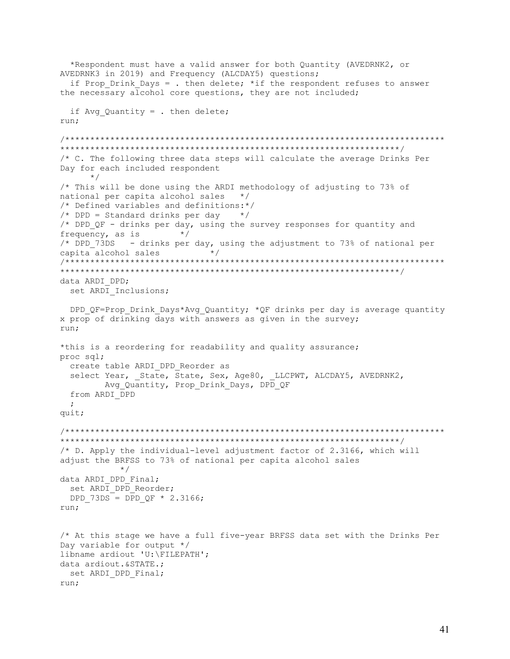```
*Respondent must have a valid answer for both Quantity (AVEDRNK2, or
AVEDRNK3 in 2019) and Frequency (ALCDAY5) questions;
 if Prop Drink Days = . then delete; *if the respondent refuses to answer
the necessary alcohol core questions, they are not included;
 if Avg Quantity = . then delete;
run;
/* C. The following three data steps will calculate the average Drinks Per
Day for each included respondent
    \star//* This will be done using the ARDI methodology of adjusting to 73% of
national per capita alcohol sales */
/* Defined variables and definitions:*/
/* DPD = Standard drinks per day *//* DPD QF - drinks per day, using the survey responses for quantity and
                  \star/frequency, as is
/* DPD 73DS - drinks per day, using the adjustment to 73% of national per
capita alcohol sales * /
data ARDI DPD:
 set ARDI Inclusions;
 DPD QF=Prop Drink Days*Avq Quantity; *QF drinks per day is average quantity
x prop of drinking days with answers as given in the survey;
run:
*this is a reordering for readability and quality assurance;
proc sql;
 create table ARDI DPD Reorder as
 select Year, State, State, Sex, Age80, LLCPWT, ALCDAY5, AVEDRNK2,
      Avg Quantity, Prop Drink Days, DPD QF
 from ARDI DPD
 \ddot{ }quit;
/* D. Apply the individual-level adjustment factor of 2.3166, which will
adjust the BRFSS to 73% of national per capita alcohol sales
         \star/data ARDI DPD Final;
set ARDI DPD Reorder;
 DPD 73DS = DPD QF * 2.3166;
run;
/* At this stage we have a full five-year BRFSS data set with the Drinks Per
Day variable for output */
libname ardiout 'U:\FILEPATH';
data ardiout. & STATE.;
 set ARDI DPD Final;
run;
```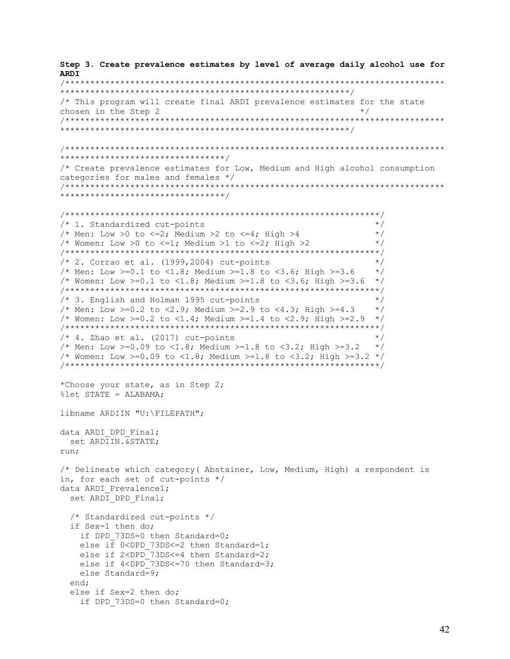Step 3. Create prevalence estimates by level of average daily alcohol use for **ARDI** /\* This program will create final ARDI prevalence estimates for the state chosen in the Step 2  $\star/$ /\* Create prevalence estimates for Low, Medium and High alcohol consumption categories for males and females \*/ /\* 1. Standardized cut-points  $\star/$ /\* Men: Low >0 to <= 2; Medium >2 to <= 4; High >4  $\star/$ /\* Women: Low >0 to <=1; Medium >1 to <=2; High >2  $\star/$  $/* 2.$  Corrao et al. (1999, 2004) cut-points  $\star$  / /\* Men: Low >=0.1 to <1.8; Medium >=1.8 to <3.6; High >=3.6  $\star/$ /\* Women: Low >=0.1 to <1.8; Medium >=1.8 to <3.6; High >=3.6 \*/ /\* 3. English and Holman 1995 cut-points  $\star/$  $\star/$ /\* Men: Low >=0.2 to <2.9; Medium >=2.9 to <4.3; High >=4.3 /\* Women: Low >=0.2 to <1.4; Medium >=1.4 to <2.9; High >=2.9 \*/  $/* 4.$  Zhao et al. (2017) cut-points  $\star/$ /\* Men: Low >=0.09 to <1.8; Medium >=1.8 to <3.2; High >=3.2  $\star/$ /\* Women: Low >=0.09 to <1.8; Medium >=1.8 to <3.2; High >=3.2 \*/ \*Choose your state, as in Step 2; %let STATE = ALABAMA; libname ARDIIN "U: \FILEPATH"; data ARDI DPD Final; set ARDIIN. & STATE: run: /\* Delineate which category (Abstainer, Low, Medium, High) a respondent is in, for each set of cut-points  $*/$ data ARDI Prevalence1; set ARDI DPD Final; /\* Standardized cut-points \*/ if Sex=1 then do; if DPD 73DS=0 then Standard=0; else if  $0$ <DPD 73DS <= 2 then Standard=1; else if 2<DPD 73DS<=4 then Standard=2; else if 4<DPD 73DS<=70 then Standard=3; else Standard=9; end; else if Sex=2 then do; if DPD 73DS=0 then Standard=0;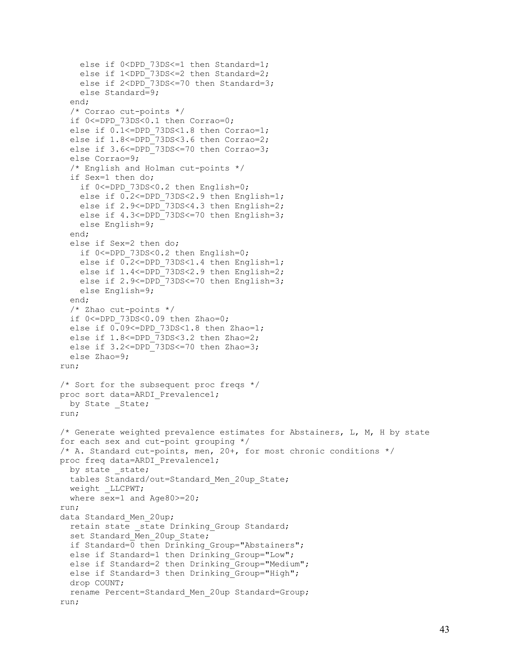```
else if 0<DPD 73DS<=1 then Standard=1;
    else if 1<DPD<sup>-73DS<=2</sup> then Standard=2;
    else if 2<DPD<sup>-73DS<=70</sup> then Standard=3;
     else Standard=9;
   end;
   /* Corrao cut-points */
  if 0<=DPD 73DS<0.1 then Corrao=0;
  else if 0.1<=DPD 73DS<1.8 then Corrao=1;
  else if 1.8<=DPD 73DS<3.6 then Corrao=2;
  else if 3.6<=DPD 73DS<=70 then Corrao=3;
   else Corrao=9;
   /* English and Holman cut-points */
   if Sex=1 then do;
    if 0<=DPD 73DS<0.2 then English=0;
    else if 0.2<=DPD 73DS<2.9 then English=1;
    else if 2.9<=DPD<sup>-73DS<4.3</sup> then English=2;
    else if 4.3<=DPD 73DS<=70 then English=3;
     else English=9;
   end;
   else if Sex=2 then do;
    if 0<=DPD 73DS<0.2 then English=0;
    else if 0.2 <= DPD 73DS<1.4 then English=1;
    else if 1.4 <= DPD 73DS < 2.9 then English = 2;
    else if 2.9<=DPD 73DS<=70 then English=3;
     else English=9;
   end;
   /* Zhao cut-points */
  if 0<=DPD 73DS<0.09 then Zhao=0;
  else if 0.09<=DPD 73DS<1.8 then Zhao=1;
  else if 1.8 <= DPD \overline{7}3 DS < 3.2 then Zhao=2;
  else if 3.2 <= DPD 73DS <= 70 then Zhao=3;
   else Zhao=9;
run;
/* Sort for the subsequent proc freqs */
proc sort data=ARDI_Prevalence1;
 by State State;
run;
/* Generate weighted prevalence estimates for Abstainers, L, M, H by state 
for each sex and cut-point grouping */
/* A. Standard cut-points, men, 20+, for most chronic conditions */
proc freq data=ARDI Prevalence1;
 by state _state;
 tables Standard/out=Standard Men 20up State;
 weight LLCPWT;
  where sex=1 and Age80>=20;
run;
data Standard Men 20up;
  retain state state Drinking Group Standard;
  set Standard Men 20up State;
  if Standard=0 then Drinking Group="Abstainers";
  else if Standard=1 then Drinking Group="Low";
  else if Standard=2 then Drinking Group="Medium";
  else if Standard=3 then Drinking Group="High";
   drop COUNT;
 rename Percent=Standard Men 20up Standard=Group;
run;
```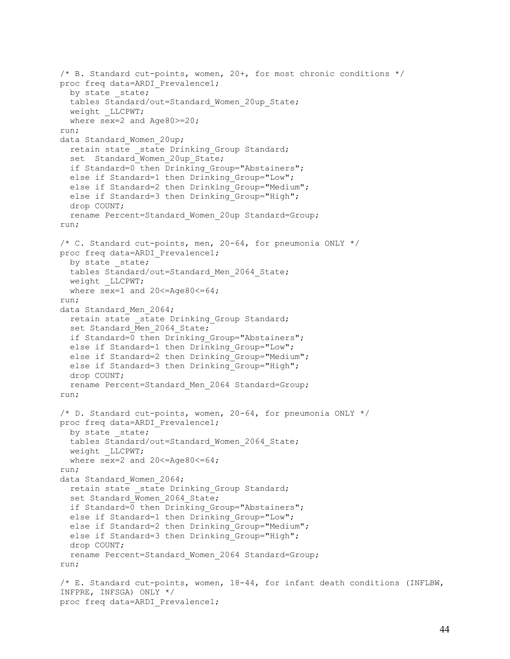```
/* B. Standard cut-points, women, 20+, for most chronic conditions */
proc freq data=ARDI Prevalence1;
 by state state;
 tables Standard/out=Standard Women 20up State;
 weight LLCPWT;
  where sex=2 and Age80>=20;
run;
data Standard Women 20up;
  retain state _state Drinking_Group Standard;
  set Standard Women 20up State;
 if Standard=0 then Drinking Group="Abstainers";
 else if Standard=1 then Drinking Group="Low";
 else if Standard=2 then Drinking Group="Medium";
 else if Standard=3 then Drinking Group="High";
  drop COUNT;
  rename Percent=Standard_Women_20up Standard=Group;
run;
/* C. Standard cut-points, men, 20-64, for pneumonia ONLY */proc freq data=ARDI Prevalence1;
 by state state;
 tables Standard/out=Standard Men 2064 State;
  weight _LLCPWT;
 where sex=1 and 20 <= Age80 <= 64;
run;
data Standard Men 2064;
 retain state state Drinking Group Standard;
 set Standard Men 2064 State;
 if Standard=0 then Drinking Group="Abstainers";
  else if Standard=1 then Drinking Group="Low";
  else if Standard=2 then Drinking Group="Medium";
 else if Standard=3 then Drinking Group="High";
  drop COUNT;
 rename Percent=Standard Men 2064 Standard=Group;
run;
/* D. Standard cut-points, women, 20-64, for pneumonia ONLY */
proc freq data=ARDI Prevalence1;
 by state state;
 tables Standard/out=Standard Women 2064 State;
 weight LLCPWT;
 where sex=2 and 20 <= Age80 <= 64;
run;
data Standard Women 2064;
 retain state state Drinking Group Standard;
  set Standard Women 2064 State;
 if Standard=0 then Drinking Group="Abstainers";
 else if Standard=1 then Drinking Group="Low";
 else if Standard=2 then Drinking Group="Medium";
 else if Standard=3 then Drinking Group="High";
  drop COUNT;
 rename Percent=Standard Women 2064 Standard=Group;
run;
/* E. Standard cut-points, women, 18-44, for infant death conditions (INFLBW, 
INFPRE, INFSGA) ONLY */
proc freq data=ARDI Prevalence1;
```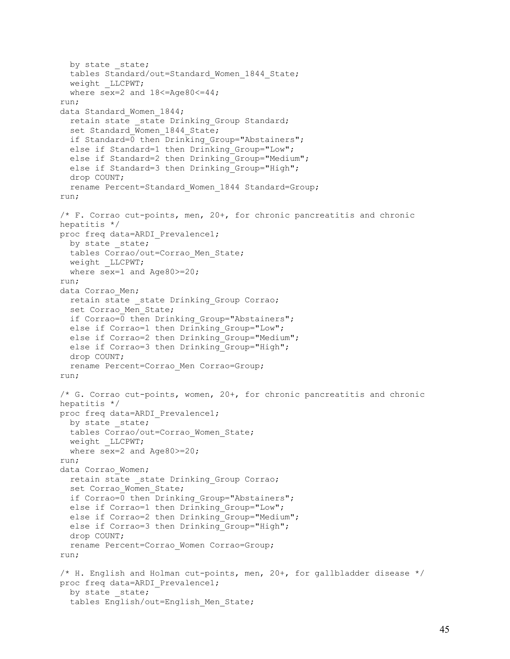```
by state state;
  tables Standard/out=Standard Women 1844 State;
  weight LLCPWT;
 where sex=2 and 18 <= Aqe 80 <= 44;
run;
data Standard Women 1844;
 retain state state Drinking Group Standard;
  set Standard Women 1844 State;
 if Standard=0 then Drinking Group="Abstainers";
  else if Standard=1 then Drinking Group="Low";
  else if Standard=2 then Drinking Group="Medium";
 else if Standard=3 then Drinking Group="High";
   drop COUNT;
  rename Percent=Standard Women 1844 Standard=Group;
run;
/* F. Corrao cut-points, men, 20+, for chronic pancreatitis and chronic 
hepatitis */
proc freq data=ARDI Prevalence1;
 by state state;
 tables Corrao/out=Corrao Men State;
 weight LLCPWT;
  where sex=1 and Age80>=20;
run;
data Corrao Men;
 retain state state Drinking Group Corrao;
  set Corrao Men State;
 if Corrao=0 then Drinking Group="Abstainers";
 else if Corrao=1 then Drinking Group="Low";
 else if Corrao=2 then Drinking Group="Medium";
  else if Corrao=3 then Drinking Group="High";
  drop COUNT;
 rename Percent=Corrao Men Corrao=Group;
run;
/* G. Corrao cut-points, women, 20+, for chronic pancreatitis and chronic 
hepatitis */
proc freq data=ARDI Prevalence1;
 by state state;
 tables Corrao/out=Corrao Women State;
 weight LLCPWT;
  where sex=2 and Age80>=20;
run;
data Corrao Women;
 retain state state Drinking Group Corrao;
 set Corrao Women State;
 if Corrao=0 then Drinking Group="Abstainers";
 else if Corrao=1 then Drinking Group="Low";
 else if Corrao=2 then Drinking Group="Medium";
  else if Corrao=3 then Drinking Group="High";
  drop COUNT;
  rename Percent=Corrao_Women Corrao=Group;
run;
/* H. English and Holman cut-points, men, 20+, for gallbladder disease */
proc freq data=ARDI Prevalence1;
 by state state;
   tables English/out=English_Men_State;
```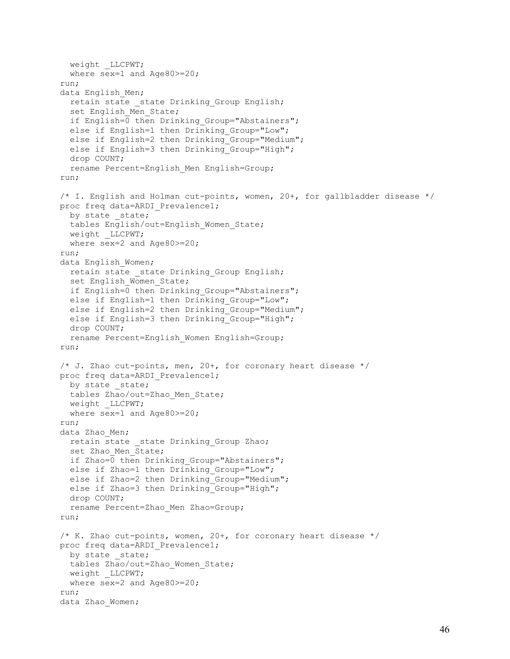```
weight LLCPWT;
  where sex=1 and Age80>=20;
run;
data English Men;
  retain state state Drinking Group English;
  set English Men State;
  if English=0 then Drinking Group="Abstainers";
  else if English=1 then Drinking Group="Low";
  else if English=2 then Drinking Group="Medium";
  else if English=3 then Drinking Group="High";
   drop COUNT;
  rename Percent=English Men English=Group;
run;
/* I. English and Holman cut-points, women, 20+, for gallbladder disease */
proc freq data=ARDI_Prevalence1;
 by state state;
  tables English/out=English_Women_State;
 weight LLCPWT;
  where sex=2 and Age80>=20;
run;
data English Women;
 retain state state Drinking Group English;
  set English Women State;
  if English=0 then Drinking Group="Abstainers";
  else if English=1 then Drinking Group="Low";
  else if English=2 then Drinking Group="Medium";
  else if English=3 then Drinking Group="High";
  drop COUNT;
  rename Percent=English Women English=Group;
run;
\frac{1}{x} J. Zhao cut-points, men, 20+, for coronary heart disease */
proc freq data=ARDI Prevalence1;
 by state state;
  tables Zhao/out=Zhao_Men_State;
 weight LLCPWT;
  where sex=1 and Age80>=20;
run;
data Zhao Men;
 retain state state Drinking Group Zhao;
  set Zhao Men State;
 if Zhao=0 then Drinking Group="Abstainers";
  else if Zhao=1 then Drinking Group="Low";
  else if Zhao=2 then Drinking Group="Medium";
  else if Zhao=3 then Drinking Group="High";
   drop COUNT;
  rename Percent=Zhao Men Zhao=Group;
run;
/* K. Zhao cut-points, women, 20+, for coronary heart disease */proc freq data=ARDI_Prevalence1;
 by state state;
  tables Zhao/out=Zhao_Women_State;
 weight LLCPWT;
  where sex=2 and Age80>=20;
run;
data Zhao Women;
```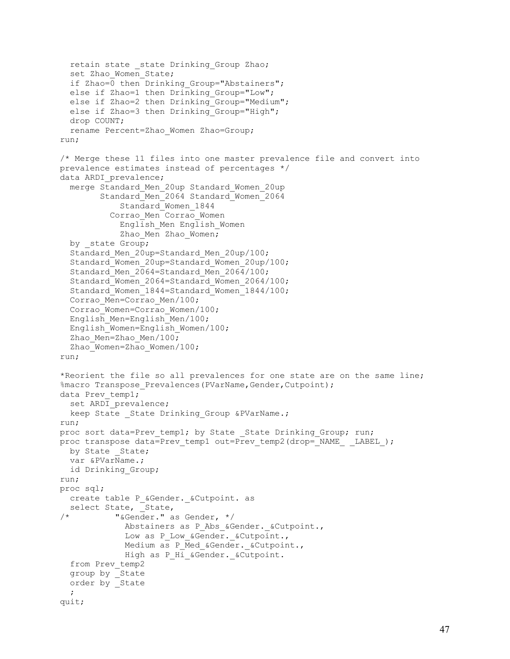```
retain state state Drinking Group Zhao;
  set Zhao Women State;
  if Zhao=0 then Drinking Group="Abstainers";
  else if Zhao=1 then Drinking Group="Low";
  else if Zhao=2 then Drinking Group="Medium";
  else if Zhao=3 then Drinking Group="High";
   drop COUNT;
   rename Percent=Zhao_Women Zhao=Group;
run;
/* Merge these 11 files into one master prevalence file and convert into 
prevalence estimates instead of percentages */
data ARDI prevalence;
   merge Standard_Men_20up Standard_Women_20up
         Standard Men<sup>2064</sup> Standard Women<sup>2064</sup>
             Standard_Women_1844
            Corrao_Men Corrao_Women
             English_Men English_Women
             Zhao Men Zhao Women;
  by state Group;
  Standard Men 20up=Standard Men 20up/100;
  Standard Women 20up=Standard Women 20up/100;
  Standard Men 2064=Standard Men 2064/100;
   Standard_Women_2064=Standard_Women_2064/100;
  Standard Women 1844=Standard Women 1844/100;
  Corrao Men=Corrao Men/100;
  Corrao Women=Corrao Women/100;
   English_Men=English_Men/100;
   English_Women=English_Women/100;
  Zhao Men=Zhao Men/100;
  Zhao Women=Zhao Women/100;
run;
*Reorient the file so all prevalences for one state are on the same line;
%macro Transpose Prevalences (PVarName, Gender, Cutpoint);
data Prev temp1;
  set ARDI prevalence;
  keep State State Drinking Group &PVarName.;
run;
proc sort data=Prev temp1; by State State Drinking Group; run;
proc transpose data=Prev temp1 out=Prev temp2(drop= NAME _ LABEL );
  by State State;
   var &PVarName.;
   id Drinking_Group;
run;
proc sql;
  create table P &Gender. &Cutpoint. as
select State, _2State,<br>
\frac{1}{x} \frac{1}{x} \frac{1}{x} \frac{1}{x} \frac{1}{x} \frac{1}{x} \frac{1}{x} \frac{1}{x} \frac{1}{x}/* "&Gender." as Gender, */
              Abstainers as P Abs &Gender. &Cutpoint.,
              Low as P Low &Gender. &Cutpoint.,
              Medium as P Med &Gender. & Cutpoint.,
              High as P_Hi_&Gender._&Cutpoint.
   from Prev_temp2
   group by _State
   order by _State
\ddot{i}quit;
```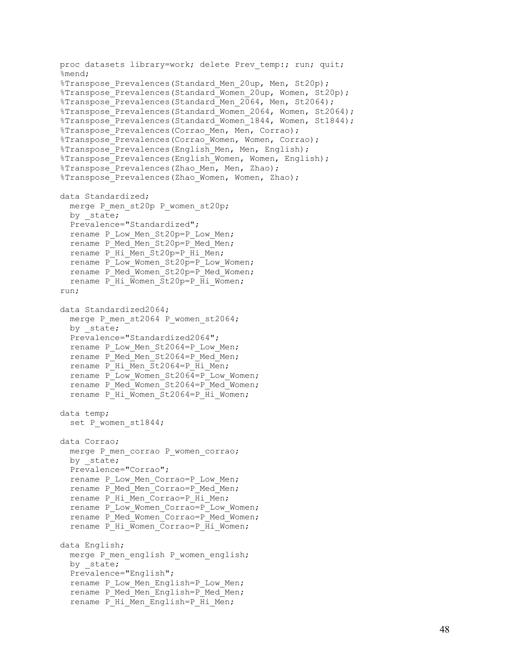```
proc datasets library=work; delete Prev temp:; run; quit;
%mend;
%Transpose Prevalences (Standard Men 20up, Men, St20p);
%Transpose<sup>Prevalences(Standard Women 20up, Women, St20p);</sup>
%Transpose<sup>Prevalences(Standard Men 2064, Men, St2064);</sup>
%Transpose Prevalences(Standard Women 2064, Women, St2064);
%Transpose Prevalences(Standard Women 1844, Women, St1844);
%Transpose Prevalences(Corrao Men, Men, Corrao);
%Transpose Prevalences (Corrao Women, Women, Corrao);
%Transpose Prevalences(English Men, Men, English);
%Transpose Prevalences(English Women, Women, English);
%Transpose Prevalences(Zhao Men, Men, Zhao);
%Transpose_Prevalences(Zhao_Women, Women, Zhao);
data Standardized;
  merge P_men_st20p P_women_st20p;
  by _state;
  Prevalence="Standardized";
 rename P Low Men St20p=P Low Men;
 rename P_Med_Men St20p=P_Med_Men;
 rename P Hi Men St20p=P Hi Men;
 rename P Low Women St20p = P Low Women;
  rename P_Med_Women_St20p=P_Med_Women;
  rename P_Hi_Women_St20p=P_Hi_Women;
run; 
data Standardized2064;
 merge P_men_st2064 P_women_st2064;
 by state;
  Prevalence="Standardized2064";
  rename P Low Men St2064=P Low Men;
  rename P_Med_Men_St2064=P_Med_Men;
  rename P Hi Men St2064=P Hi Men;
  rename P Low Women St2064=P Low Women;
   rename P_Med_Women_St2064=P_Med_Women;
  rename PHi Women St2064=P Hi Women;
data temp;
  set P women st1844;
data Corrao;
 merge P_men_corrao P_women_corrao;
 by state;
   Prevalence="Corrao";
  rename P Low Men Corrao=P Low Men;
  rename P_Med_Men Corrao=P_Med_Men;
  rename P Hi Men Corrao=P Hi Men;
  rename P Low Women Corrao=P Low Women;
  rename P_Med_Women_Corrao=P_Med_Women;
  rename P Hi Women Corrao=P Hi Women;
data English;
 merge P_men_english P_women_english;
  by state;
   Prevalence="English";
 rename P Low Men English=P Low Men;
  rename P_Med_Men_English=P_Med_Men;
  rename PHi Men English=P Hi Men;
```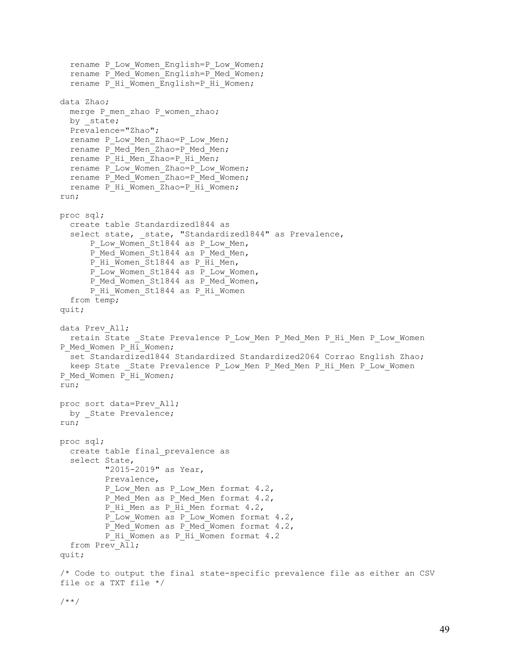```
 rename P_Low_Women_English=P_Low_Women;
   rename P_Med_Women_English=P_Med_Women;
  rename P Hi Women English=P Hi Women;
data Zhao;
 merge P men zhao P women zhao;
 by state;
   Prevalence="Zhao";
  rename P Low Men Zhao=P Low Men;
   rename P_Med_Men_Zhao=P_Med_Men;
  rename P<sup>Hi</sup>Men Zhao=P \overline{H}i Men;
  rename P Low Women Zhao=P Low Women;
  rename P_Med_Women_Zhao=P_Med_Women;
  rename P_Hi_Women_Zhao=P_Hi_Women;
run;
proc sql;
   create table Standardized1844 as
  select state, state, "Standardized1844" as Prevalence,
      P Low Women St1844 as P Low Men,
      P_Med_Women_St1844 as P_Med_Men,
      P_Hi_Women_St1844 as P_Hi_Men,
      P Low Women St1844 as P Low Women,
      P_Med_Women_St1844 as P_Med_Women,
      P_Hi_Women_St1844 as P_Hi_Women
   from temp;
quit;
data Prev_All;
  retain State State Prevalence P Low Men P Med Men P Hi Men P Low Women
P_Med_Women P_Hi_Women;
   set Standardized1844 Standardized Standardized2064 Corrao English Zhao;
 keep State State Prevalence P Low Men P Med Men P Hi Men P Low Women
P_Med_Women P_Hi_Women;
run;
proc sort data=Prev_All;
 by State Prevalence;
run;
proc sql;
   create table final_prevalence as
   select State,
          "2015-2019" as Year,
          Prevalence,
         P Low Men as P Low Men format 4.2,
         P_Med_Men as P_Med_Men format 4.2,
         P Hi Men as P Hi Men format 4.2,
         P Low Women as P Low Women format 4.2,
         P_Med_Women as P_Med_Women format 4.2,
         P_Hi_Women as P_Hi_Women format 4.2
  from Prev All;
quit;
/* Code to output the final state-specific prevalence file as either an CSV 
file or a TXT file */
/**/
```